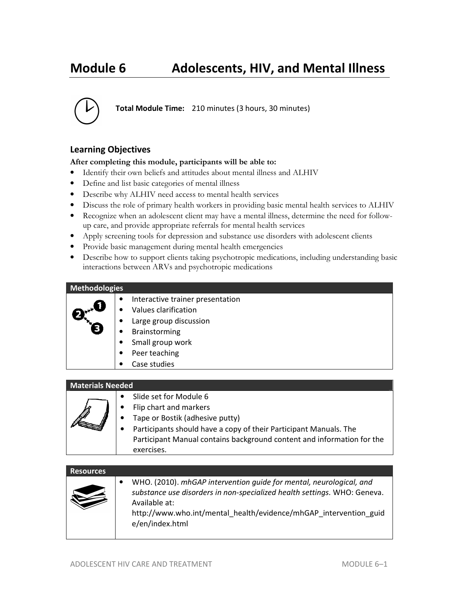# **Module 6 Adolescents, HIV, and Mental Illness**



**Total Module Time:** 210 minutes (3 hours, 30 minutes)

# **Learning Objectives**

#### **After completing this module, participants will be able to:**

- Identify their own beliefs and attitudes about mental illness and ALHIV
- Define and list basic categories of mental illness
- Describe why ALHIV need access to mental health services
- Discuss the role of primary health workers in providing basic mental health services to ALHIV
- Recognize when an adolescent client may have a mental illness, determine the need for followup care, and provide appropriate referrals for mental health services
- Apply screening tools for depression and substance use disorders with adolescent clients
- Provide basic management during mental health emergencies
- Describe how to support clients taking psychotropic medications, including understanding basic interactions between ARVs and psychotropic medications

#### **Methodologies**



- Interactive trainer presentation
- Values clarification
- Large group discussion
- **Brainstorming**
- Small group work
- Peer teaching
- Case studies

#### **Materials Needed**

- Slide set for Module 6
- Flip chart and markers
- Tape or Bostik (adhesive putty)
- Participants should have a copy of their Participant Manuals. The Participant Manual contains background content and information for the exercises.

| <b>Resources</b> |                                                                                                                                                                                                                                                          |
|------------------|----------------------------------------------------------------------------------------------------------------------------------------------------------------------------------------------------------------------------------------------------------|
|                  | WHO. (2010). mhGAP intervention quide for mental, neurological, and<br>substance use disorders in non-specialized health settings. WHO: Geneva.<br>Available at:<br>http://www.who.int/mental_health/evidence/mhGAP_intervention_guid<br>e/en/index.html |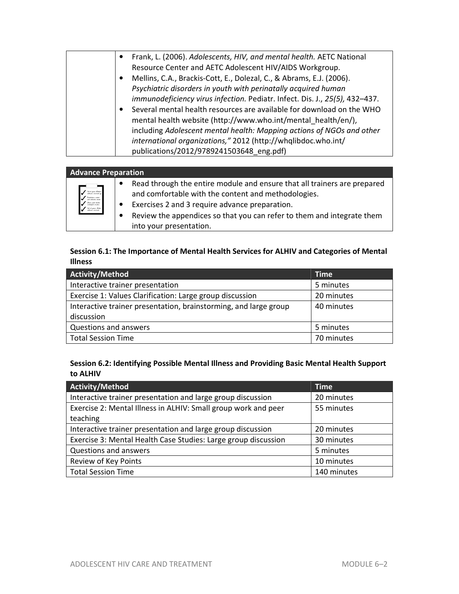| Frank, L. (2006). Adolescents, HIV, and mental health. AETC National                                                                   |
|----------------------------------------------------------------------------------------------------------------------------------------|
| Resource Center and AETC Adolescent HIV/AIDS Workgroup.                                                                                |
| Mellins, C.A., Brackis-Cott, E., Dolezal, C., & Abrams, E.J. (2006).                                                                   |
| Psychiatric disorders in youth with perinatally acquired human                                                                         |
| immunodeficiency virus infection. Pediatr. Infect. Dis. J., 25(5), 432-437.                                                            |
| Several mental health resources are available for download on the WHO<br>mental health website (http://www.who.int/mental health/en/), |
| including Adolescent mental health: Mapping actions of NGOs and other                                                                  |
| international organizations," 2012 (http://whqlibdoc.who.int/                                                                          |
| publications/2012/9789241503648 eng.pdf)                                                                                               |

| <b>Advance Preparation</b>                                                                                                                 |                                                                                                                                                                                                                                                                                        |
|--------------------------------------------------------------------------------------------------------------------------------------------|----------------------------------------------------------------------------------------------------------------------------------------------------------------------------------------------------------------------------------------------------------------------------------------|
| a<br>- lah at gram deklar<br>- rellesion animed of<br>.<br>Katalogian padat<br>pat dalamin dari<br>and at your della.<br>The strain commed | Read through the entire module and ensure that all trainers are prepared<br>and comfortable with the content and methodologies.<br>Exercises 2 and 3 require advance preparation.<br>Review the appendices so that you can refer to them and integrate them<br>into your presentation. |

# **Session 6.1: The Importance of Mental Health Services for ALHIV and Categories of Mental Illness**

| Activity/Method                                                  | <b>Time</b> |
|------------------------------------------------------------------|-------------|
| Interactive trainer presentation                                 | 5 minutes   |
| Exercise 1: Values Clarification: Large group discussion         | 20 minutes  |
| Interactive trainer presentation, brainstorming, and large group | 40 minutes  |
| discussion                                                       |             |
| Questions and answers                                            | 5 minutes   |
| <b>Total Session Time</b>                                        | 70 minutes  |

# **Session 6.2: Identifying Possible Mental Illness and Providing Basic Mental Health Support to ALHIV**

| Activity/Method                                                | <b>Time</b> |
|----------------------------------------------------------------|-------------|
| Interactive trainer presentation and large group discussion    | 20 minutes  |
| Exercise 2: Mental Illness in ALHIV: Small group work and peer | 55 minutes  |
| teaching                                                       |             |
| Interactive trainer presentation and large group discussion    | 20 minutes  |
| Exercise 3: Mental Health Case Studies: Large group discussion | 30 minutes  |
| Questions and answers                                          | 5 minutes   |
| Review of Key Points                                           | 10 minutes  |
| <b>Total Session Time</b>                                      | 140 minutes |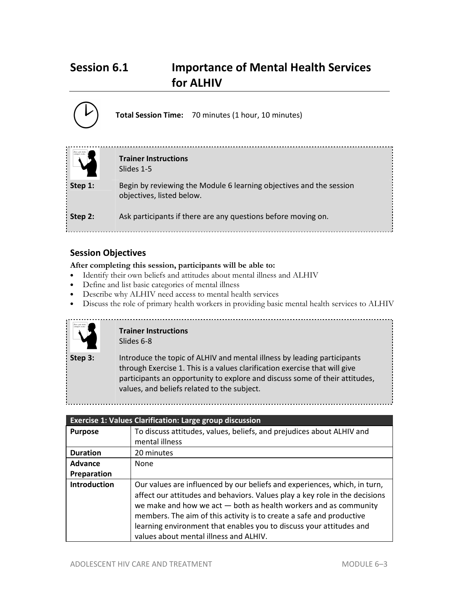# **Session 6.1 Importance of Mental Health Services for ALHIV**

|         | <b>Total Session Time:</b> 70 minutes (1 hour, 10 minutes)                                       |  |
|---------|--------------------------------------------------------------------------------------------------|--|
|         | <b>Trainer Instructions</b><br>Slides 1-5                                                        |  |
| Step 1: | Begin by reviewing the Module 6 learning objectives and the session<br>objectives, listed below. |  |
| Step 2: | Ask participants if there are any questions before moving on.                                    |  |

# **Session Objectives**

# **After completing this session, participants will be able to:**

- Identify their own beliefs and attitudes about mental illness and ALHIV
- Define and list basic categories of mental illness
- Describe why ALHIV need access to mental health services
- Discuss the role of primary health workers in providing basic mental health services to ALHIV



# **Trainer Instructions**  Slides 6-8

**Step 3:** Introduce the topic of ALHIV and mental illness by leading participants through Exercise 1. This is a values clarification exercise that will give participants an opportunity to explore and discuss some of their attitudes, values, and beliefs related to the subject.

| <b>Exercise 1: Values Clarification: Large group discussion</b> |                                                                                                                                                                                                                                                                                                                                                                                                                       |
|-----------------------------------------------------------------|-----------------------------------------------------------------------------------------------------------------------------------------------------------------------------------------------------------------------------------------------------------------------------------------------------------------------------------------------------------------------------------------------------------------------|
| <b>Purpose</b>                                                  | To discuss attitudes, values, beliefs, and prejudices about ALHIV and<br>mental illness                                                                                                                                                                                                                                                                                                                               |
| <b>Duration</b>                                                 | 20 minutes                                                                                                                                                                                                                                                                                                                                                                                                            |
| Advance                                                         | None                                                                                                                                                                                                                                                                                                                                                                                                                  |
| Preparation                                                     |                                                                                                                                                                                                                                                                                                                                                                                                                       |
| <b>Introduction</b>                                             | Our values are influenced by our beliefs and experiences, which, in turn,<br>affect our attitudes and behaviors. Values play a key role in the decisions<br>we make and how we act - both as health workers and as community<br>members. The aim of this activity is to create a safe and productive<br>learning environment that enables you to discuss your attitudes and<br>values about mental illness and ALHIV. |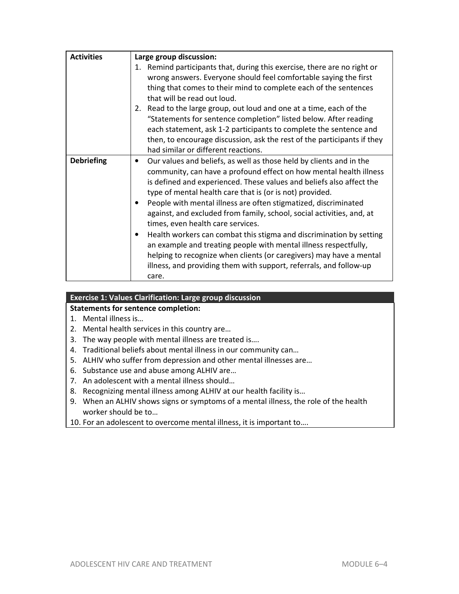| <b>Activities</b> | Large group discussion:                                                                                                                                                                                                                                                                                                                                                                                                                                                                                                                                                                                                                                                                                                                                                                |
|-------------------|----------------------------------------------------------------------------------------------------------------------------------------------------------------------------------------------------------------------------------------------------------------------------------------------------------------------------------------------------------------------------------------------------------------------------------------------------------------------------------------------------------------------------------------------------------------------------------------------------------------------------------------------------------------------------------------------------------------------------------------------------------------------------------------|
|                   | Remind participants that, during this exercise, there are no right or<br>1.<br>wrong answers. Everyone should feel comfortable saying the first<br>thing that comes to their mind to complete each of the sentences<br>that will be read out loud.<br>Read to the large group, out loud and one at a time, each of the<br>2.<br>"Statements for sentence completion" listed below. After reading<br>each statement, ask 1-2 participants to complete the sentence and<br>then, to encourage discussion, ask the rest of the participants if they<br>had similar or different reactions.                                                                                                                                                                                                |
| <b>Debriefing</b> | Our values and beliefs, as well as those held by clients and in the<br>٠<br>community, can have a profound effect on how mental health illness<br>is defined and experienced. These values and beliefs also affect the<br>type of mental health care that is (or is not) provided.<br>People with mental illness are often stigmatized, discriminated<br>٠<br>against, and excluded from family, school, social activities, and, at<br>times, even health care services.<br>Health workers can combat this stigma and discrimination by setting<br>$\bullet$<br>an example and treating people with mental illness respectfully,<br>helping to recognize when clients (or caregivers) may have a mental<br>illness, and providing them with support, referrals, and follow-up<br>care. |

# **Exercise 1: Values Clarification: Large group discussion**

# **Statements for sentence completion:**

- 1. Mental illness is…
- 2. Mental health services in this country are…
- 3. The way people with mental illness are treated is….
- 4. Traditional beliefs about mental illness in our community can…
- 5. ALHIV who suffer from depression and other mental illnesses are…
- 6. Substance use and abuse among ALHIV are…
- 7. An adolescent with a mental illness should…
- 8. Recognizing mental illness among ALHIV at our health facility is…
- 9. When an ALHIV shows signs or symptoms of a mental illness, the role of the health worker should be to…
- 10. For an adolescent to overcome mental illness, it is important to….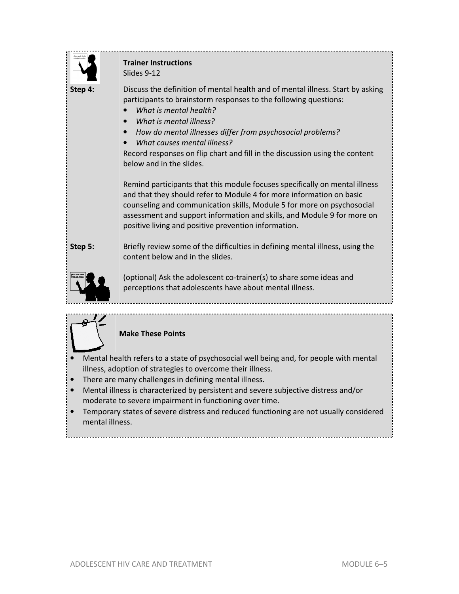|         | <b>Trainer Instructions</b><br>Slides 9-12                                                                                                                                                                                                                                                                                                                                                                      |
|---------|-----------------------------------------------------------------------------------------------------------------------------------------------------------------------------------------------------------------------------------------------------------------------------------------------------------------------------------------------------------------------------------------------------------------|
| Step 4: | Discuss the definition of mental health and of mental illness. Start by asking<br>participants to brainstorm responses to the following questions:<br>What is mental health?<br>What is mental illness?<br>How do mental illnesses differ from psychosocial problems?<br>What causes mental illness?<br>Record responses on flip chart and fill in the discussion using the content<br>below and in the slides. |
|         | Remind participants that this module focuses specifically on mental illness<br>and that they should refer to Module 4 for more information on basic<br>counseling and communication skills, Module 5 for more on psychosocial<br>assessment and support information and skills, and Module 9 for more on<br>positive living and positive prevention information.                                                |
| Step 5: | Briefly review some of the difficulties in defining mental illness, using the<br>content below and in the slides.                                                                                                                                                                                                                                                                                               |
|         | (optional) Ask the adolescent co-trainer(s) to share some ideas and<br>perceptions that adolescents have about mental illness.                                                                                                                                                                                                                                                                                  |
|         |                                                                                                                                                                                                                                                                                                                                                                                                                 |
|         | <b>Make These Points</b>                                                                                                                                                                                                                                                                                                                                                                                        |
|         | Mental health refers to a state of psychosocial well being and, for people with mental<br>illness, adoption of strategies to overcome their illness.<br>There are many challenges in defining mental illness.<br>Mental illness is characterized by persistent and severe subjective distress and/or                                                                                                            |

- moderate to severe impairment in functioning over time.
- Temporary states of severe distress and reduced functioning are not usually considered mental illness.

t.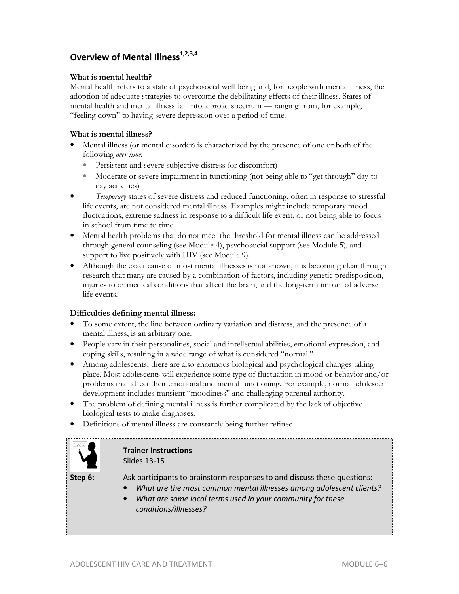# **Overview of Mental Illness1,2,3,4**

#### **What is mental health?**

Mental health refers to a state of psychosocial well being and, for people with mental illness, the adoption of adequate strategies to overcome the debilitating effects of their illness. States of mental health and mental illness fall into a broad spectrum — ranging from, for example, "feeling down" to having severe depression over a period of time.

#### **What is mental illness?**

- Mental illness (or mental disorder) is characterized by the presence of one or both of the following *over time*:
	- Persistent and severe subjective distress (or discomfort)
	- Moderate or severe impairment in functioning (not being able to "get through" day-today activities)
- *Temporary* states of severe distress and reduced functioning, often in response to stressful life events, are not considered mental illness. Examples might include temporary mood fluctuations, extreme sadness in response to a difficult life event, or not being able to focus in school from time to time.
- Mental health problems that do not meet the threshold for mental illness can be addressed through general counseling (see Module 4), psychosocial support (see Module 5), and support to live positively with HIV (see Module 9).
- Although the exact cause of most mental illnesses is not known, it is becoming clear through research that many are caused by a combination of factors, including genetic predisposition, injuries to or medical conditions that affect the brain, and the long-term impact of adverse life events.

#### **Difficulties defining mental illness:**

- To some extent, the line between ordinary variation and distress, and the presence of a mental illness, is an arbitrary one.
- People vary in their personalities, social and intellectual abilities, emotional expression, and coping skills, resulting in a wide range of what is considered "normal."
- Among adolescents, there are also enormous biological and psychological changes taking place. Most adolescents will experience some type of fluctuation in mood or behavior and/or problems that affect their emotional and mental functioning. For example, normal adolescent development includes transient "moodiness" and challenging parental authority.
- The problem of defining mental illness is further complicated by the lack of objective biological tests to make diagnoses.
- Definitions of mental illness are constantly being further refined.



# **Trainer Instructions**  Slides 13-15

- **Step 6:** Ask participants to brainstorm responses to and discuss these questions:
	- *What are the most common mental illnesses among adolescent clients?*
	- *What are some local terms used in your community for these conditions/illnesses?*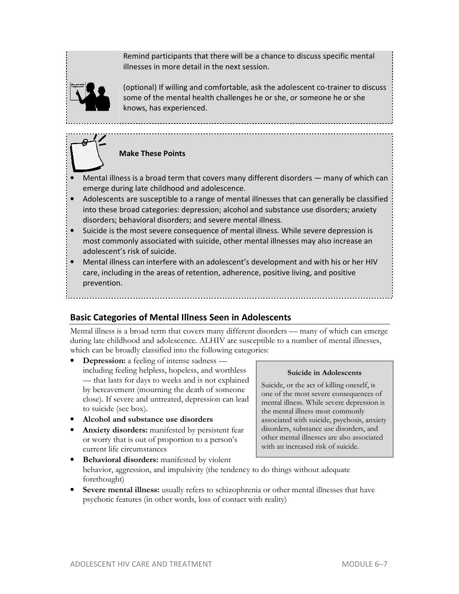Remind participants that there will be a chance to discuss specific mental illnesses in more detail in the next session.



(optional) If willing and comfortable, ask the adolescent co-trainer to discuss some of the mental health challenges he or she, or someone he or she knows, has experienced.



- Mental illness is a broad term that covers many different disorders many of which can emerge during late childhood and adolescence.
- Adolescents are susceptible to a range of mental illnesses that can generally be classified into these broad categories: depression; alcohol and substance use disorders; anxiety disorders; behavioral disorders; and severe mental illness.
- Suicide is the most severe consequence of mental illness. While severe depression is most commonly associated with suicide, other mental illnesses may also increase an adolescent's risk of suicide.
- Mental illness can interfere with an adolescent's development and with his or her HIV care, including in the areas of retention, adherence, positive living, and positive prevention.

# **Basic Categories of Mental Illness Seen in Adolescents**

Mental illness is a broad term that covers many different disorders — many of which can emerge during late childhood and adolescence. ALHIV are susceptible to a number of mental illnesses, which can be broadly classified into the following categories:

- **Depression:** a feeling of intense sadness including feeling helpless, hopeless, and worthless — that lasts for days to weeks and is not explained by bereavement (mourning the death of someone close). If severe and untreated, depression can lead to suicide (see box).
- **Alcohol and substance use disorders**
- **Anxiety disorders:** manifested by persistent fear or worry that is out of proportion to a person's current life circumstances

#### **Suicide in Adolescents**

Suicide, or the act of killing oneself, is one of the most severe consequences of mental illness. While severe depression is the mental illness most commonly associated with suicide, psychosis, anxiety disorders, substance use disorders, and other mental illnesses are also associated with an increased risk of suicide.

- **Behavioral disorders:** manifested by violent behavior, aggression, and impulsivity (the tendency to do things without adequate forethought)
- **Severe mental illness:** usually refers to schizophrenia or other mental illnesses that have psychotic features (in other words, loss of contact with reality)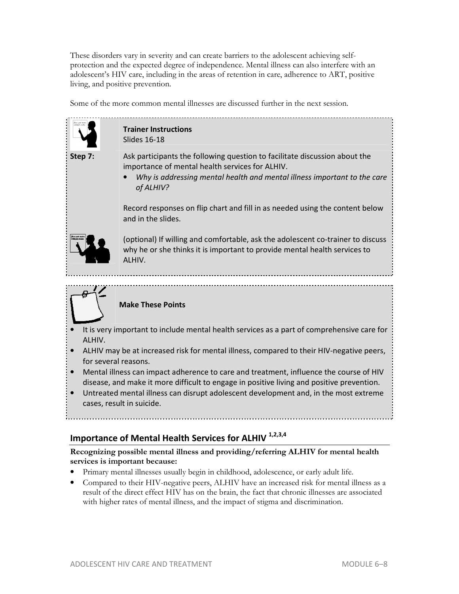These disorders vary in severity and can create barriers to the adolescent achieving selfprotection and the expected degree of independence. Mental illness can also interfere with an adolescent's HIV care, including in the areas of retention in care, adherence to ART, positive living, and positive prevention.

Some of the more common mental illnesses are discussed further in the next session.



# **Trainer Instructions**  Slides 16-18

**Step 7:** Ask participants the following question to facilitate discussion about the importance of mental health services for ALHIV.

> • *Why is addressing mental health and mental illness important to the care of ALHIV?*

Record responses on flip chart and fill in as needed using the content below and in the slides.



(optional) If willing and comfortable, ask the adolescent co-trainer to discuss why he or she thinks it is important to provide mental health services to ALHIV.



# **Make These Points**

- It is very important to include mental health services as a part of comprehensive care for ALHIV.
- ALHIV may be at increased risk for mental illness, compared to their HIV-negative peers, for several reasons.
- Mental illness can impact adherence to care and treatment, influence the course of HIV disease, and make it more difficult to engage in positive living and positive prevention.
- Untreated mental illness can disrupt adolescent development and, in the most extreme cases, result in suicide.

# **Importance of Mental Health Services for ALHIV 1,2,3,4**

# **Recognizing possible mental illness and providing/referring ALHIV for mental health services is important because:**

- Primary mental illnesses usually begin in childhood, adolescence, or early adult life.
- Compared to their HIV-negative peers, ALHIV have an increased risk for mental illness as a result of the direct effect HIV has on the brain, the fact that chronic illnesses are associated with higher rates of mental illness, and the impact of stigma and discrimination.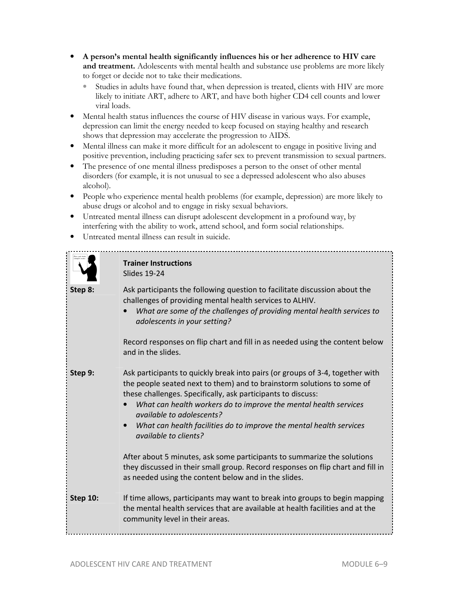- **A person's mental health significantly influences his or her adherence to HIV care and treatment.** Adolescents with mental health and substance use problems are more likely to forget or decide not to take their medications.
	- Studies in adults have found that, when depression is treated, clients with HIV are more likely to initiate ART, adhere to ART, and have both higher CD4 cell counts and lower viral loads.
- Mental health status influences the course of HIV disease in various ways. For example, depression can limit the energy needed to keep focused on staying healthy and research shows that depression may accelerate the progression to AIDS.
- Mental illness can make it more difficult for an adolescent to engage in positive living and positive prevention, including practicing safer sex to prevent transmission to sexual partners.
- The presence of one mental illness predisposes a person to the onset of other mental disorders (for example, it is not unusual to see a depressed adolescent who also abuses alcohol).
- People who experience mental health problems (for example, depression) are more likely to abuse drugs or alcohol and to engage in risky sexual behaviors.
- Untreated mental illness can disrupt adolescent development in a profound way, by interfering with the ability to work, attend school, and form social relationships.
- Untreated mental illness can result in suicide.

|                 | <b>Trainer Instructions</b><br><b>Slides 19-24</b>                                                                                                                                                                                                                                                                                                                                                                                                                                                         |
|-----------------|------------------------------------------------------------------------------------------------------------------------------------------------------------------------------------------------------------------------------------------------------------------------------------------------------------------------------------------------------------------------------------------------------------------------------------------------------------------------------------------------------------|
| Step 8:         | Ask participants the following question to facilitate discussion about the<br>challenges of providing mental health services to ALHIV.<br>What are some of the challenges of providing mental health services to<br>adolescents in your setting?<br>Record responses on flip chart and fill in as needed using the content below                                                                                                                                                                           |
|                 | and in the slides.                                                                                                                                                                                                                                                                                                                                                                                                                                                                                         |
| Step 9:         | Ask participants to quickly break into pairs (or groups of 3-4, together with<br>the people seated next to them) and to brainstorm solutions to some of<br>these challenges. Specifically, ask participants to discuss:<br>What can health workers do to improve the mental health services<br>available to adolescents?<br>What can health facilities do to improve the mental health services<br><i>available to clients?</i><br>After about 5 minutes, ask some participants to summarize the solutions |
|                 | they discussed in their small group. Record responses on flip chart and fill in<br>as needed using the content below and in the slides.                                                                                                                                                                                                                                                                                                                                                                    |
| <b>Step 10:</b> | If time allows, participants may want to break into groups to begin mapping<br>the mental health services that are available at health facilities and at the<br>community level in their areas.                                                                                                                                                                                                                                                                                                            |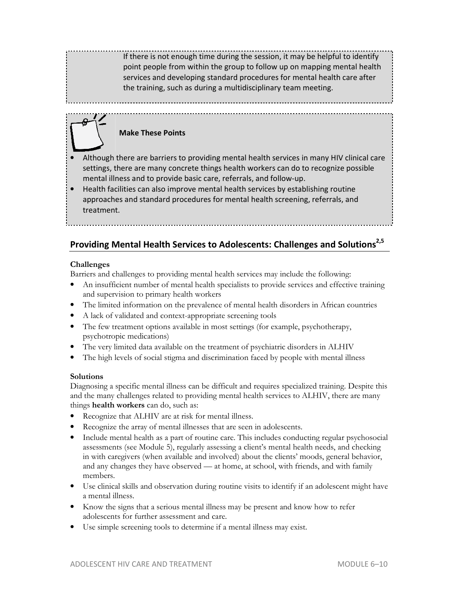If there is not enough time during the session, it may be helpful to identify point people from within the group to follow up on mapping mental health services and developing standard procedures for mental health care after the training, such as during a multidisciplinary team meeting.

#### **Make These Points**

- Although there are barriers to providing mental health services in many HIV clinical care settings, there are many concrete things health workers can do to recognize possible mental illness and to provide basic care, referrals, and follow-up.
- Health facilities can also improve mental health services by establishing routine approaches and standard procedures for mental health screening, referrals, and treatment.

# **Providing Mental Health Services to Adolescents: Challenges and Solutions2,5**

#### **Challenges**

Barriers and challenges to providing mental health services may include the following:

- An insufficient number of mental health specialists to provide services and effective training and supervision to primary health workers
- The limited information on the prevalence of mental health disorders in African countries
- A lack of validated and context-appropriate screening tools
- The few treatment options available in most settings (for example, psychotherapy, psychotropic medications)
- The very limited data available on the treatment of psychiatric disorders in ALHIV
- The high levels of social stigma and discrimination faced by people with mental illness

#### **Solutions**

Diagnosing a specific mental illness can be difficult and requires specialized training. Despite this and the many challenges related to providing mental health services to ALHIV, there are many things **health workers** can do, such as:

- Recognize that ALHIV are at risk for mental illness.
- Recognize the array of mental illnesses that are seen in adolescents.
- Include mental health as a part of routine care. This includes conducting regular psychosocial assessments (see Module 5), regularly assessing a client's mental health needs, and checking in with caregivers (when available and involved) about the clients' moods, general behavior, and any changes they have observed — at home, at school, with friends, and with family members.
- Use clinical skills and observation during routine visits to identify if an adolescent might have a mental illness.
- Know the signs that a serious mental illness may be present and know how to refer adolescents for further assessment and care.
- Use simple screening tools to determine if a mental illness may exist.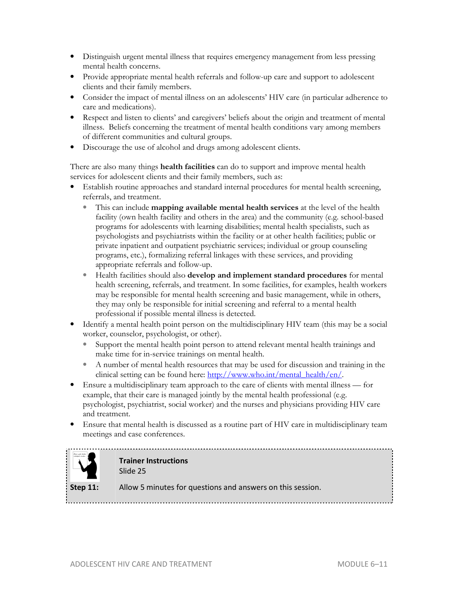- Distinguish urgent mental illness that requires emergency management from less pressing mental health concerns.
- Provide appropriate mental health referrals and follow-up care and support to adolescent clients and their family members.
- Consider the impact of mental illness on an adolescents' HIV care (in particular adherence to care and medications).
- Respect and listen to clients' and caregivers' beliefs about the origin and treatment of mental illness. Beliefs concerning the treatment of mental health conditions vary among members of different communities and cultural groups.
- Discourage the use of alcohol and drugs among adolescent clients.

There are also many things **health facilities** can do to support and improve mental health services for adolescent clients and their family members, such as:

- Establish routine approaches and standard internal procedures for mental health screening, referrals, and treatment.
	- This can include **mapping available mental health services** at the level of the health facility (own health facility and others in the area) and the community (e.g. school-based programs for adolescents with learning disabilities; mental health specialists, such as psychologists and psychiatrists within the facility or at other health facilities; public or private inpatient and outpatient psychiatric services; individual or group counseling programs, etc.), formalizing referral linkages with these services, and providing appropriate referrals and follow-up.
	- Health facilities should also **develop and implement standard procedures** for mental health screening, referrals, and treatment. In some facilities, for examples, health workers may be responsible for mental health screening and basic management, while in others, they may only be responsible for initial screening and referral to a mental health professional if possible mental illness is detected.
- Identify a mental health point person on the multidisciplinary HIV team (this may be a social worker, counselor, psychologist, or other).
	- Support the mental health point person to attend relevant mental health trainings and make time for in-service trainings on mental health.
	- A number of mental health resources that may be used for discussion and training in the clinical setting can be found here: http://www.who.int/mental\_health/en/.
- Ensure a multidisciplinary team approach to the care of clients with mental illness for example, that their care is managed jointly by the mental health professional (e.g. psychologist, psychiatrist, social worker) and the nurses and physicians providing HIV care and treatment.
- Ensure that mental health is discussed as a routine part of HIV care in multidisciplinary team meetings and case conferences.



**Trainer Instructions**  Slide 25

**Step 11:** Allow 5 minutes for questions and answers on this session.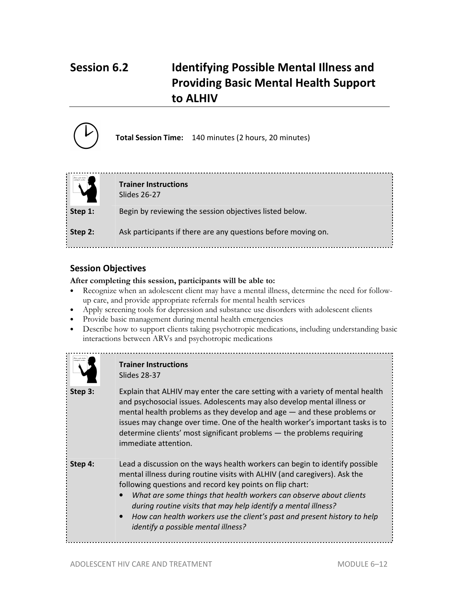# **Session 6.2 Identifying Possible Mental Illness and Providing Basic Mental Health Support to ALHIV**



**Total Session Time:** 140 minutes (2 hours, 20 minutes)

|         | <b>Trainer Instructions</b><br>Slides 26-27                   |
|---------|---------------------------------------------------------------|
| Step 1: | Begin by reviewing the session objectives listed below.       |
| Step 2: | Ask participants if there are any questions before moving on. |

# **Session Objectives**

**After completing this session, participants will be able to:**

- Recognize when an adolescent client may have a mental illness, determine the need for followup care, and provide appropriate referrals for mental health services
- Apply screening tools for depression and substance use disorders with adolescent clients
- Provide basic management during mental health emergencies
- Describe how to support clients taking psychotropic medications, including understanding basic interactions between ARVs and psychotropic medications



#### **Trainer Instructions**  Slides 28-37

**Step 3:** Explain that ALHIV may enter the care setting with a variety of mental health and psychosocial issues. Adolescents may also develop mental illness or mental health problems as they develop and age — and these problems or issues may change over time. One of the health worker's important tasks is to determine clients' most significant problems — the problems requiring immediate attention.

- **Step 4:** Lead a discussion on the ways health workers can begin to identify possible mental illness during routine visits with ALHIV (and caregivers). Ask the following questions and record key points on flip chart:
	- *What are some things that health workers can observe about clients during routine visits that may help identify a mental illness?*
	- *How can health workers use the client's past and present history to help identify a possible mental illness?*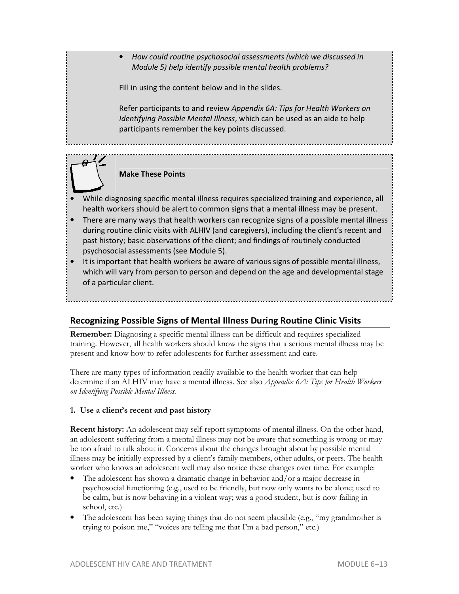• *How could routine psychosocial assessments (which we discussed in Module 5) help identify possible mental health problems?* 

Fill in using the content below and in the slides.

Refer participants to and review *Appendix 6A: Tips for Health Workers on Identifying Possible Mental Illness*, which can be used as an aide to help participants remember the key points discussed.



# **Make These Points**

- While diagnosing specific mental illness requires specialized training and experience, all health workers should be alert to common signs that a mental illness may be present.
- There are many ways that health workers can recognize signs of a possible mental illness during routine clinic visits with ALHIV (and caregivers), including the client's recent and past history; basic observations of the client; and findings of routinely conducted psychosocial assessments (see Module 5).
- It is important that health workers be aware of various signs of possible mental illness, which will vary from person to person and depend on the age and developmental stage of a particular client.

# **Recognizing Possible Signs of Mental Illness During Routine Clinic Visits**

**Remember:** Diagnosing a specific mental illness can be difficult and requires specialized training. However, all health workers should know the signs that a serious mental illness may be present and know how to refer adolescents for further assessment and care.

There are many types of information readily available to the health worker that can help determine if an ALHIV may have a mental illness. See also *Appendix 6A: Tips for Health Workers on Identifying Possible Mental Illness.*

#### **1. Use a client's recent and past history**

**Recent history:** An adolescent may self-report symptoms of mental illness. On the other hand, an adolescent suffering from a mental illness may not be aware that something is wrong or may be too afraid to talk about it. Concerns about the changes brought about by possible mental illness may be initially expressed by a client's family members, other adults, or peers. The health worker who knows an adolescent well may also notice these changes over time. For example:

- The adolescent has shown a dramatic change in behavior and/or a major decrease in psychosocial functioning (e.g., used to be friendly, but now only wants to be alone; used to be calm, but is now behaving in a violent way; was a good student, but is now failing in school, etc.)
- The adolescent has been saying things that do not seem plausible (e.g., "my grandmother is trying to poison me," "voices are telling me that I'm a bad person," etc.)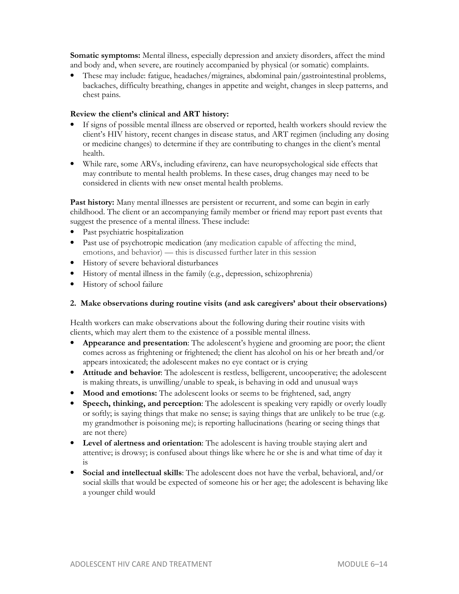**Somatic symptoms:** Mental illness, especially depression and anxiety disorders, affect the mind and body and, when severe, are routinely accompanied by physical (or somatic) complaints.

• These may include: fatigue, headaches/migraines, abdominal pain/gastrointestinal problems, backaches, difficulty breathing, changes in appetite and weight, changes in sleep patterns, and chest pains.

#### **Review the client's clinical and ART history:**

- If signs of possible mental illness are observed or reported, health workers should review the client's HIV history, recent changes in disease status, and ART regimen (including any dosing or medicine changes) to determine if they are contributing to changes in the client's mental health.
- While rare, some ARVs, including efavirenz, can have neuropsychological side effects that may contribute to mental health problems. In these cases, drug changes may need to be considered in clients with new onset mental health problems.

Past history: Many mental illnesses are persistent or recurrent, and some can begin in early childhood. The client or an accompanying family member or friend may report past events that suggest the presence of a mental illness. These include:

- Past psychiatric hospitalization
- Past use of psychotropic medication (any medication capable of affecting the mind, emotions, and behavior) — this is discussed further later in this session
- History of severe behavioral disturbances
- History of mental illness in the family (e.g., depression, schizophrenia)
- History of school failure

#### **2. Make observations during routine visits (and ask caregivers' about their observations)**

Health workers can make observations about the following during their routine visits with clients, which may alert them to the existence of a possible mental illness.

- **Appearance and presentation**: The adolescent's hygiene and grooming are poor; the client comes across as frightening or frightened; the client has alcohol on his or her breath and/or appears intoxicated; the adolescent makes no eye contact or is crying
- **Attitude and behavior**: The adolescent is restless, belligerent, uncooperative; the adolescent is making threats, is unwilling/unable to speak, is behaving in odd and unusual ways
- **Mood and emotions:** The adolescent looks or seems to be frightened, sad, angry
- **Speech, thinking, and perception**: The adolescent is speaking very rapidly or overly loudly or softly; is saying things that make no sense; is saying things that are unlikely to be true (e.g. my grandmother is poisoning me); is reporting hallucinations (hearing or seeing things that are not there)
- **Level of alertness and orientation**: The adolescent is having trouble staying alert and attentive; is drowsy; is confused about things like where he or she is and what time of day it is
- **Social and intellectual skills**: The adolescent does not have the verbal, behavioral, and/or social skills that would be expected of someone his or her age; the adolescent is behaving like a younger child would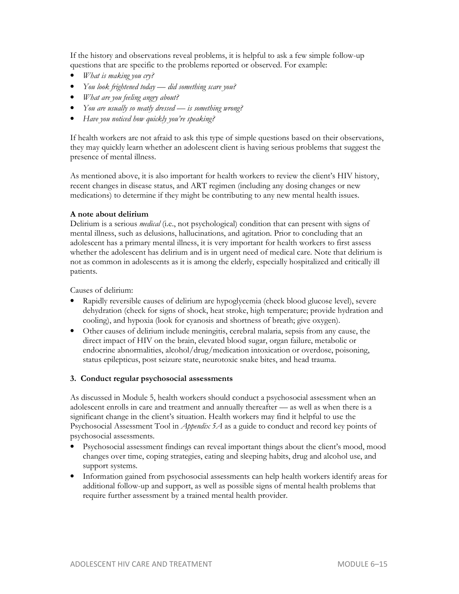If the history and observations reveal problems, it is helpful to ask a few simple follow-up questions that are specific to the problems reported or observed. For example:

- *What is making you cry?*
- *You look frightened today did something scare you?*
- *What are you feeling angry about?*
- *You are usually so neatly dressed is something wrong?*
- *Have you noticed how quickly you're speaking?*

If health workers are not afraid to ask this type of simple questions based on their observations, they may quickly learn whether an adolescent client is having serious problems that suggest the presence of mental illness.

As mentioned above, it is also important for health workers to review the client's HIV history, recent changes in disease status, and ART regimen (including any dosing changes or new medications) to determine if they might be contributing to any new mental health issues.

#### **A note about delirium**

Delirium is a serious *medical* (i.e., not psychological) condition that can present with signs of mental illness, such as delusions, hallucinations, and agitation. Prior to concluding that an adolescent has a primary mental illness, it is very important for health workers to first assess whether the adolescent has delirium and is in urgent need of medical care. Note that delirium is not as common in adolescents as it is among the elderly, especially hospitalized and critically ill patients.

Causes of delirium:

- Rapidly reversible causes of delirium are hypoglycemia (check blood glucose level), severe dehydration (check for signs of shock, heat stroke, high temperature; provide hydration and cooling), and hypoxia (look for cyanosis and shortness of breath; give oxygen).
- Other causes of delirium include meningitis, cerebral malaria, sepsis from any cause, the direct impact of HIV on the brain, elevated blood sugar, organ failure, metabolic or endocrine abnormalities, alcohol/drug/medication intoxication or overdose, poisoning, status epilepticus, post seizure state, neurotoxic snake bites, and head trauma.

#### **3. Conduct regular psychosocial assessments**

As discussed in Module 5, health workers should conduct a psychosocial assessment when an adolescent enrolls in care and treatment and annually thereafter — as well as when there is a significant change in the client's situation. Health workers may find it helpful to use the Psychosocial Assessment Tool in *Appendix 5A* as a guide to conduct and record key points of psychosocial assessments.

- Psychosocial assessment findings can reveal important things about the client's mood, mood changes over time, coping strategies, eating and sleeping habits, drug and alcohol use, and support systems.
- Information gained from psychosocial assessments can help health workers identify areas for additional follow-up and support, as well as possible signs of mental health problems that require further assessment by a trained mental health provider.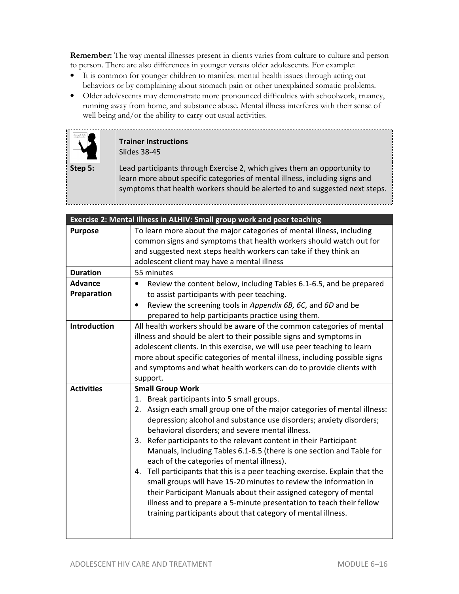**Remember:** The way mental illnesses present in clients varies from culture to culture and person to person. There are also differences in younger versus older adolescents. For example:

- It is common for younger children to manifest mental health issues through acting out behaviors or by complaining about stomach pain or other unexplained somatic problems.
- Older adolescents may demonstrate more pronounced difficulties with schoolwork, truancy, running away from home, and substance abuse. Mental illness interferes with their sense of well being and/or the ability to carry out usual activities.



#### **Trainer Instructions**  Slides 38-45

**Step 5:** Lead participants through Exercise 2, which gives them an opportunity to learn more about specific categories of mental illness, including signs and symptoms that health workers should be alerted to and suggested next steps.

|                     | Exercise 2: Mental Illness in ALHIV: Small group work and peer teaching          |
|---------------------|----------------------------------------------------------------------------------|
| <b>Purpose</b>      | To learn more about the major categories of mental illness, including            |
|                     | common signs and symptoms that health workers should watch out for               |
|                     | and suggested next steps health workers can take if they think an                |
|                     | adolescent client may have a mental illness                                      |
| <b>Duration</b>     | 55 minutes                                                                       |
| <b>Advance</b>      | Review the content below, including Tables 6.1-6.5, and be prepared<br>$\bullet$ |
| Preparation         | to assist participants with peer teaching.                                       |
|                     | Review the screening tools in Appendix 6B, 6C, and 6D and be<br>$\bullet$        |
|                     | prepared to help participants practice using them.                               |
| <b>Introduction</b> | All health workers should be aware of the common categories of mental            |
|                     | illness and should be alert to their possible signs and symptoms in              |
|                     | adolescent clients. In this exercise, we will use peer teaching to learn         |
|                     | more about specific categories of mental illness, including possible signs       |
|                     | and symptoms and what health workers can do to provide clients with              |
|                     | support.                                                                         |
| <b>Activities</b>   | <b>Small Group Work</b>                                                          |
|                     | 1. Break participants into 5 small groups.                                       |
|                     | Assign each small group one of the major categories of mental illness:<br>2.     |
|                     | depression; alcohol and substance use disorders; anxiety disorders;              |
|                     | behavioral disorders; and severe mental illness.                                 |
|                     | Refer participants to the relevant content in their Participant<br>3.            |
|                     | Manuals, including Tables 6.1-6.5 (there is one section and Table for            |
|                     | each of the categories of mental illness).                                       |
|                     | Tell participants that this is a peer teaching exercise. Explain that the<br>4.  |
|                     | small groups will have 15-20 minutes to review the information in                |
|                     | their Participant Manuals about their assigned category of mental                |
|                     | illness and to prepare a 5-minute presentation to teach their fellow             |
|                     | training participants about that category of mental illness.                     |
|                     |                                                                                  |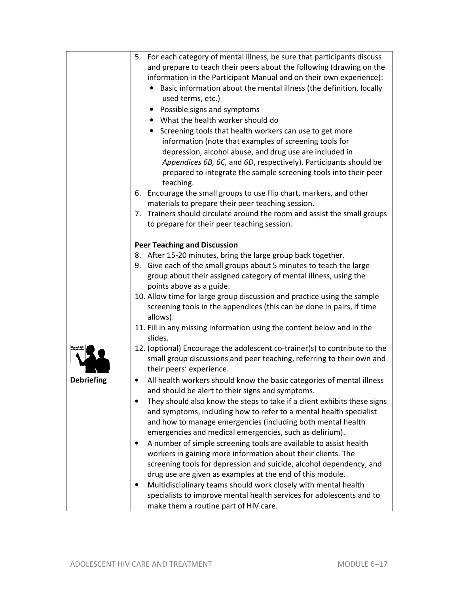| 5. For each category of mental illness, be sure that participants discuss<br>and prepare to teach their peers about the following (drawing on the<br>information in the Participant Manual and on their own experience):<br>Basic information about the mental illness (the definition, locally<br>used terms, etc.)<br>Possible signs and symptoms<br>• What the health worker should do<br>Screening tools that health workers can use to get more<br>$\bullet$<br>information (note that examples of screening tools for<br>depression, alcohol abuse, and drug use are included in<br>Appendices 6B, 6C, and 6D, respectively). Participants should be<br>prepared to integrate the sample screening tools into their peer<br>teaching.<br>6. Encourage the small groups to use flip chart, markers, and other<br>materials to prepare their peer teaching session.<br>7. Trainers should circulate around the room and assist the small groups<br>to prepare for their peer teaching session.<br><b>Peer Teaching and Discussion</b><br>8. After 15-20 minutes, bring the large group back together.<br>9. Give each of the small groups about 5 minutes to teach the large<br>group about their assigned category of mental illness, using the<br>points above as a guide.<br>10. Allow time for large group discussion and practice using the sample<br>screening tools in the appendices (this can be done in pairs, if time<br>allows).<br>11. Fill in any missing information using the content below and in the<br>slides.<br>12. (optional) Encourage the adolescent co-trainer(s) to contribute to the |
|---------------------------------------------------------------------------------------------------------------------------------------------------------------------------------------------------------------------------------------------------------------------------------------------------------------------------------------------------------------------------------------------------------------------------------------------------------------------------------------------------------------------------------------------------------------------------------------------------------------------------------------------------------------------------------------------------------------------------------------------------------------------------------------------------------------------------------------------------------------------------------------------------------------------------------------------------------------------------------------------------------------------------------------------------------------------------------------------------------------------------------------------------------------------------------------------------------------------------------------------------------------------------------------------------------------------------------------------------------------------------------------------------------------------------------------------------------------------------------------------------------------------------------------------------------------------------------------------------------------------|
|                                                                                                                                                                                                                                                                                                                                                                                                                                                                                                                                                                                                                                                                                                                                                                                                                                                                                                                                                                                                                                                                                                                                                                                                                                                                                                                                                                                                                                                                                                                                                                                                                     |
|                                                                                                                                                                                                                                                                                                                                                                                                                                                                                                                                                                                                                                                                                                                                                                                                                                                                                                                                                                                                                                                                                                                                                                                                                                                                                                                                                                                                                                                                                                                                                                                                                     |
|                                                                                                                                                                                                                                                                                                                                                                                                                                                                                                                                                                                                                                                                                                                                                                                                                                                                                                                                                                                                                                                                                                                                                                                                                                                                                                                                                                                                                                                                                                                                                                                                                     |
|                                                                                                                                                                                                                                                                                                                                                                                                                                                                                                                                                                                                                                                                                                                                                                                                                                                                                                                                                                                                                                                                                                                                                                                                                                                                                                                                                                                                                                                                                                                                                                                                                     |
|                                                                                                                                                                                                                                                                                                                                                                                                                                                                                                                                                                                                                                                                                                                                                                                                                                                                                                                                                                                                                                                                                                                                                                                                                                                                                                                                                                                                                                                                                                                                                                                                                     |
|                                                                                                                                                                                                                                                                                                                                                                                                                                                                                                                                                                                                                                                                                                                                                                                                                                                                                                                                                                                                                                                                                                                                                                                                                                                                                                                                                                                                                                                                                                                                                                                                                     |
|                                                                                                                                                                                                                                                                                                                                                                                                                                                                                                                                                                                                                                                                                                                                                                                                                                                                                                                                                                                                                                                                                                                                                                                                                                                                                                                                                                                                                                                                                                                                                                                                                     |
|                                                                                                                                                                                                                                                                                                                                                                                                                                                                                                                                                                                                                                                                                                                                                                                                                                                                                                                                                                                                                                                                                                                                                                                                                                                                                                                                                                                                                                                                                                                                                                                                                     |
|                                                                                                                                                                                                                                                                                                                                                                                                                                                                                                                                                                                                                                                                                                                                                                                                                                                                                                                                                                                                                                                                                                                                                                                                                                                                                                                                                                                                                                                                                                                                                                                                                     |
|                                                                                                                                                                                                                                                                                                                                                                                                                                                                                                                                                                                                                                                                                                                                                                                                                                                                                                                                                                                                                                                                                                                                                                                                                                                                                                                                                                                                                                                                                                                                                                                                                     |
|                                                                                                                                                                                                                                                                                                                                                                                                                                                                                                                                                                                                                                                                                                                                                                                                                                                                                                                                                                                                                                                                                                                                                                                                                                                                                                                                                                                                                                                                                                                                                                                                                     |
|                                                                                                                                                                                                                                                                                                                                                                                                                                                                                                                                                                                                                                                                                                                                                                                                                                                                                                                                                                                                                                                                                                                                                                                                                                                                                                                                                                                                                                                                                                                                                                                                                     |
|                                                                                                                                                                                                                                                                                                                                                                                                                                                                                                                                                                                                                                                                                                                                                                                                                                                                                                                                                                                                                                                                                                                                                                                                                                                                                                                                                                                                                                                                                                                                                                                                                     |
|                                                                                                                                                                                                                                                                                                                                                                                                                                                                                                                                                                                                                                                                                                                                                                                                                                                                                                                                                                                                                                                                                                                                                                                                                                                                                                                                                                                                                                                                                                                                                                                                                     |
|                                                                                                                                                                                                                                                                                                                                                                                                                                                                                                                                                                                                                                                                                                                                                                                                                                                                                                                                                                                                                                                                                                                                                                                                                                                                                                                                                                                                                                                                                                                                                                                                                     |
|                                                                                                                                                                                                                                                                                                                                                                                                                                                                                                                                                                                                                                                                                                                                                                                                                                                                                                                                                                                                                                                                                                                                                                                                                                                                                                                                                                                                                                                                                                                                                                                                                     |
|                                                                                                                                                                                                                                                                                                                                                                                                                                                                                                                                                                                                                                                                                                                                                                                                                                                                                                                                                                                                                                                                                                                                                                                                                                                                                                                                                                                                                                                                                                                                                                                                                     |
|                                                                                                                                                                                                                                                                                                                                                                                                                                                                                                                                                                                                                                                                                                                                                                                                                                                                                                                                                                                                                                                                                                                                                                                                                                                                                                                                                                                                                                                                                                                                                                                                                     |
|                                                                                                                                                                                                                                                                                                                                                                                                                                                                                                                                                                                                                                                                                                                                                                                                                                                                                                                                                                                                                                                                                                                                                                                                                                                                                                                                                                                                                                                                                                                                                                                                                     |
|                                                                                                                                                                                                                                                                                                                                                                                                                                                                                                                                                                                                                                                                                                                                                                                                                                                                                                                                                                                                                                                                                                                                                                                                                                                                                                                                                                                                                                                                                                                                                                                                                     |
|                                                                                                                                                                                                                                                                                                                                                                                                                                                                                                                                                                                                                                                                                                                                                                                                                                                                                                                                                                                                                                                                                                                                                                                                                                                                                                                                                                                                                                                                                                                                                                                                                     |
|                                                                                                                                                                                                                                                                                                                                                                                                                                                                                                                                                                                                                                                                                                                                                                                                                                                                                                                                                                                                                                                                                                                                                                                                                                                                                                                                                                                                                                                                                                                                                                                                                     |
|                                                                                                                                                                                                                                                                                                                                                                                                                                                                                                                                                                                                                                                                                                                                                                                                                                                                                                                                                                                                                                                                                                                                                                                                                                                                                                                                                                                                                                                                                                                                                                                                                     |
|                                                                                                                                                                                                                                                                                                                                                                                                                                                                                                                                                                                                                                                                                                                                                                                                                                                                                                                                                                                                                                                                                                                                                                                                                                                                                                                                                                                                                                                                                                                                                                                                                     |
|                                                                                                                                                                                                                                                                                                                                                                                                                                                                                                                                                                                                                                                                                                                                                                                                                                                                                                                                                                                                                                                                                                                                                                                                                                                                                                                                                                                                                                                                                                                                                                                                                     |
|                                                                                                                                                                                                                                                                                                                                                                                                                                                                                                                                                                                                                                                                                                                                                                                                                                                                                                                                                                                                                                                                                                                                                                                                                                                                                                                                                                                                                                                                                                                                                                                                                     |
|                                                                                                                                                                                                                                                                                                                                                                                                                                                                                                                                                                                                                                                                                                                                                                                                                                                                                                                                                                                                                                                                                                                                                                                                                                                                                                                                                                                                                                                                                                                                                                                                                     |
|                                                                                                                                                                                                                                                                                                                                                                                                                                                                                                                                                                                                                                                                                                                                                                                                                                                                                                                                                                                                                                                                                                                                                                                                                                                                                                                                                                                                                                                                                                                                                                                                                     |
| small group discussions and peer teaching, referring to their own and                                                                                                                                                                                                                                                                                                                                                                                                                                                                                                                                                                                                                                                                                                                                                                                                                                                                                                                                                                                                                                                                                                                                                                                                                                                                                                                                                                                                                                                                                                                                               |
| their peers' experience.                                                                                                                                                                                                                                                                                                                                                                                                                                                                                                                                                                                                                                                                                                                                                                                                                                                                                                                                                                                                                                                                                                                                                                                                                                                                                                                                                                                                                                                                                                                                                                                            |
| <b>Debriefing</b><br>All health workers should know the basic categories of mental illness<br>٠                                                                                                                                                                                                                                                                                                                                                                                                                                                                                                                                                                                                                                                                                                                                                                                                                                                                                                                                                                                                                                                                                                                                                                                                                                                                                                                                                                                                                                                                                                                     |
| and should be alert to their signs and symptoms.                                                                                                                                                                                                                                                                                                                                                                                                                                                                                                                                                                                                                                                                                                                                                                                                                                                                                                                                                                                                                                                                                                                                                                                                                                                                                                                                                                                                                                                                                                                                                                    |
| They should also know the steps to take if a client exhibits these signs                                                                                                                                                                                                                                                                                                                                                                                                                                                                                                                                                                                                                                                                                                                                                                                                                                                                                                                                                                                                                                                                                                                                                                                                                                                                                                                                                                                                                                                                                                                                            |
| and symptoms, including how to refer to a mental health specialist                                                                                                                                                                                                                                                                                                                                                                                                                                                                                                                                                                                                                                                                                                                                                                                                                                                                                                                                                                                                                                                                                                                                                                                                                                                                                                                                                                                                                                                                                                                                                  |
| and how to manage emergencies (including both mental health                                                                                                                                                                                                                                                                                                                                                                                                                                                                                                                                                                                                                                                                                                                                                                                                                                                                                                                                                                                                                                                                                                                                                                                                                                                                                                                                                                                                                                                                                                                                                         |
| emergencies and medical emergencies, such as delirium).                                                                                                                                                                                                                                                                                                                                                                                                                                                                                                                                                                                                                                                                                                                                                                                                                                                                                                                                                                                                                                                                                                                                                                                                                                                                                                                                                                                                                                                                                                                                                             |
| A number of simple screening tools are available to assist health                                                                                                                                                                                                                                                                                                                                                                                                                                                                                                                                                                                                                                                                                                                                                                                                                                                                                                                                                                                                                                                                                                                                                                                                                                                                                                                                                                                                                                                                                                                                                   |
| workers in gaining more information about their clients. The                                                                                                                                                                                                                                                                                                                                                                                                                                                                                                                                                                                                                                                                                                                                                                                                                                                                                                                                                                                                                                                                                                                                                                                                                                                                                                                                                                                                                                                                                                                                                        |
| screening tools for depression and suicide, alcohol dependency, and                                                                                                                                                                                                                                                                                                                                                                                                                                                                                                                                                                                                                                                                                                                                                                                                                                                                                                                                                                                                                                                                                                                                                                                                                                                                                                                                                                                                                                                                                                                                                 |
| drug use are given as examples at the end of this module.                                                                                                                                                                                                                                                                                                                                                                                                                                                                                                                                                                                                                                                                                                                                                                                                                                                                                                                                                                                                                                                                                                                                                                                                                                                                                                                                                                                                                                                                                                                                                           |
| Multidisciplinary teams should work closely with mental health                                                                                                                                                                                                                                                                                                                                                                                                                                                                                                                                                                                                                                                                                                                                                                                                                                                                                                                                                                                                                                                                                                                                                                                                                                                                                                                                                                                                                                                                                                                                                      |
| specialists to improve mental health services for adolescents and to                                                                                                                                                                                                                                                                                                                                                                                                                                                                                                                                                                                                                                                                                                                                                                                                                                                                                                                                                                                                                                                                                                                                                                                                                                                                                                                                                                                                                                                                                                                                                |
| make them a routine part of HIV care.                                                                                                                                                                                                                                                                                                                                                                                                                                                                                                                                                                                                                                                                                                                                                                                                                                                                                                                                                                                                                                                                                                                                                                                                                                                                                                                                                                                                                                                                                                                                                                               |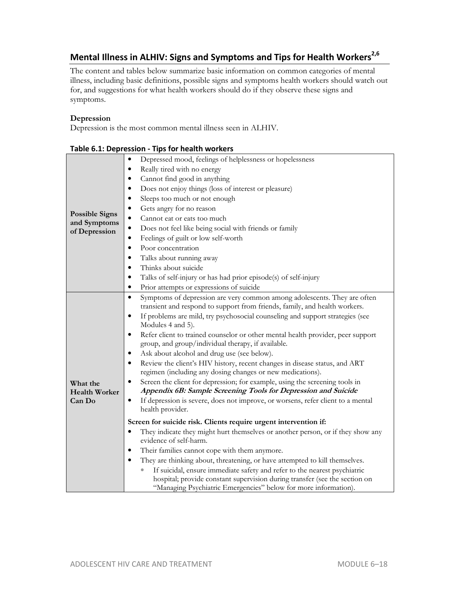# **Mental Illness in ALHIV: Signs and Symptoms and Tips for Health Workers2,6**

The content and tables below summarize basic information on common categories of mental illness, including basic definitions, possible signs and symptoms health workers should watch out for, and suggestions for what health workers should do if they observe these signs and symptoms.

#### **Depression**

Depression is the most common mental illness seen in ALHIV.

|                                            | Table 6.1: Depression - Tips for health workers                                                                                                                                                                                                                                                                                                                                                                                                                                                                                                                                                                                                                                                                                                                                                                                                                                                                                     |
|--------------------------------------------|-------------------------------------------------------------------------------------------------------------------------------------------------------------------------------------------------------------------------------------------------------------------------------------------------------------------------------------------------------------------------------------------------------------------------------------------------------------------------------------------------------------------------------------------------------------------------------------------------------------------------------------------------------------------------------------------------------------------------------------------------------------------------------------------------------------------------------------------------------------------------------------------------------------------------------------|
|                                            | Depressed mood, feelings of helplessness or hopelessness                                                                                                                                                                                                                                                                                                                                                                                                                                                                                                                                                                                                                                                                                                                                                                                                                                                                            |
|                                            | Really tired with no energy<br>$\bullet$                                                                                                                                                                                                                                                                                                                                                                                                                                                                                                                                                                                                                                                                                                                                                                                                                                                                                            |
|                                            | Cannot find good in anything<br>٠                                                                                                                                                                                                                                                                                                                                                                                                                                                                                                                                                                                                                                                                                                                                                                                                                                                                                                   |
|                                            | Does not enjoy things (loss of interest or pleasure)                                                                                                                                                                                                                                                                                                                                                                                                                                                                                                                                                                                                                                                                                                                                                                                                                                                                                |
|                                            | Sleeps too much or not enough<br>٠                                                                                                                                                                                                                                                                                                                                                                                                                                                                                                                                                                                                                                                                                                                                                                                                                                                                                                  |
|                                            | Gets angry for no reason<br>$\bullet$                                                                                                                                                                                                                                                                                                                                                                                                                                                                                                                                                                                                                                                                                                                                                                                                                                                                                               |
| <b>Possible Signs</b>                      | Cannot eat or eats too much<br>$\bullet$                                                                                                                                                                                                                                                                                                                                                                                                                                                                                                                                                                                                                                                                                                                                                                                                                                                                                            |
| and Symptoms<br>of Depression              | Does not feel like being social with friends or family<br>$\bullet$                                                                                                                                                                                                                                                                                                                                                                                                                                                                                                                                                                                                                                                                                                                                                                                                                                                                 |
|                                            | Feelings of guilt or low self-worth<br>$\bullet$                                                                                                                                                                                                                                                                                                                                                                                                                                                                                                                                                                                                                                                                                                                                                                                                                                                                                    |
|                                            | Poor concentration<br>$\bullet$                                                                                                                                                                                                                                                                                                                                                                                                                                                                                                                                                                                                                                                                                                                                                                                                                                                                                                     |
|                                            | Talks about running away<br>$\bullet$                                                                                                                                                                                                                                                                                                                                                                                                                                                                                                                                                                                                                                                                                                                                                                                                                                                                                               |
|                                            | Thinks about suicide<br>٠                                                                                                                                                                                                                                                                                                                                                                                                                                                                                                                                                                                                                                                                                                                                                                                                                                                                                                           |
|                                            | Talks of self-injury or has had prior episode(s) of self-injury<br>$\bullet$                                                                                                                                                                                                                                                                                                                                                                                                                                                                                                                                                                                                                                                                                                                                                                                                                                                        |
|                                            | Prior attempts or expressions of suicide<br>$\bullet$                                                                                                                                                                                                                                                                                                                                                                                                                                                                                                                                                                                                                                                                                                                                                                                                                                                                               |
| What the<br><b>Health Worker</b><br>Can Do | Symptoms of depression are very common among adolescents. They are often<br>$\bullet$<br>transient and respond to support from friends, family, and health workers.<br>If problems are mild, try psychosocial counseling and support strategies (see<br>$\bullet$<br>Modules 4 and 5).<br>Refer client to trained counselor or other mental health provider, peer support<br>$\bullet$<br>group, and group/individual therapy, if available.<br>Ask about alcohol and drug use (see below).<br>٠<br>Review the client's HIV history, recent changes in disease status, and ART<br>٠<br>regimen (including any dosing changes or new medications).<br>Screen the client for depression; for example, using the screening tools in<br>$\bullet$<br>Appendix 6B: Sample Screening Tools for Depression and Suicide<br>If depression is severe, does not improve, or worsens, refer client to a mental<br>$\bullet$<br>health provider. |
|                                            | Screen for suicide risk. Clients require urgent intervention if:<br>They indicate they might hurt themselves or another person, or if they show any<br>$\bullet$<br>evidence of self-harm.<br>Their families cannot cope with them anymore.<br>$\bullet$<br>They are thinking about, threatening, or have attempted to kill themselves.<br>$\bullet$<br>If suicidal, ensure immediate safety and refer to the nearest psychiatric<br>hospital; provide constant supervision during transfer (see the section on<br>"Managing Psychiatric Emergencies" below for more information).                                                                                                                                                                                                                                                                                                                                                  |

| Table 6.1: Depression - Tips for health workers |  |  |
|-------------------------------------------------|--|--|
|-------------------------------------------------|--|--|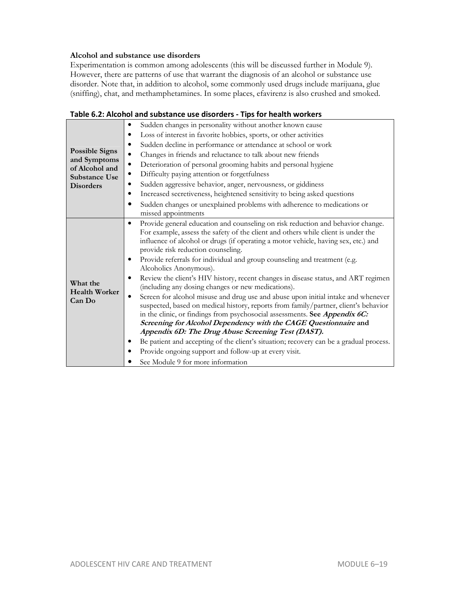#### **Alcohol and substance use disorders**

Experimentation is common among adolescents (this will be discussed further in Module 9). However, there are patterns of use that warrant the diagnosis of an alcohol or substance use disorder. Note that, in addition to alcohol, some commonly used drugs include marijuana, glue (sniffing), chat, and methamphetamines. In some places, efavirenz is also crushed and smoked.

| <b>Possible Signs</b><br>and Symptoms<br>of Alcohol and<br><b>Substance Use</b><br><b>Disorders</b> | Sudden changes in personality without another known cause<br>٠<br>Loss of interest in favorite hobbies, sports, or other activities<br>٠<br>Sudden decline in performance or attendance at school or work<br>٠<br>Changes in friends and reluctance to talk about new friends<br>$\bullet$<br>Deterioration of personal grooming habits and personal hygiene<br>$\bullet$<br>Difficulty paying attention or forgetfulness<br>٠<br>Sudden aggressive behavior, anger, nervousness, or giddiness<br>٠                                                                                                                                                                                                                                                                                                                                                                                                                                                                                                                                                                                                                                                                      |  |
|-----------------------------------------------------------------------------------------------------|--------------------------------------------------------------------------------------------------------------------------------------------------------------------------------------------------------------------------------------------------------------------------------------------------------------------------------------------------------------------------------------------------------------------------------------------------------------------------------------------------------------------------------------------------------------------------------------------------------------------------------------------------------------------------------------------------------------------------------------------------------------------------------------------------------------------------------------------------------------------------------------------------------------------------------------------------------------------------------------------------------------------------------------------------------------------------------------------------------------------------------------------------------------------------|--|
|                                                                                                     | Increased secretiveness, heightened sensitivity to being asked questions<br>٠<br>Sudden changes or unexplained problems with adherence to medications or<br>$\bullet$<br>missed appointments                                                                                                                                                                                                                                                                                                                                                                                                                                                                                                                                                                                                                                                                                                                                                                                                                                                                                                                                                                             |  |
| What the<br><b>Health Worker</b><br>Can Do                                                          | Provide general education and counseling on risk reduction and behavior change.<br>$\bullet$<br>For example, assess the safety of the client and others while client is under the<br>influence of alcohol or drugs (if operating a motor vehicle, having sex, etc.) and<br>provide risk reduction counseling.<br>Provide referrals for individual and group counseling and treatment (e.g.<br>٠<br>Alcoholics Anonymous).<br>Review the client's HIV history, recent changes in disease status, and ART regimen<br>٠<br>(including any dosing changes or new medications).<br>Screen for alcohol misuse and drug use and abuse upon initial intake and whenever<br>$\bullet$<br>suspected, based on medical history, reports from family/partner, client's behavior<br>in the clinic, or findings from psychosocial assessments. See Appendix 6C:<br>Screening for Alcohol Dependency with the CAGE Questionnaire and<br>Appendix 6D: The Drug Abuse Screening Test (DAST).<br>Be patient and accepting of the client's situation; recovery can be a gradual process.<br>Provide ongoing support and follow-up at every visit.<br>٠<br>See Module 9 for more information |  |

#### **Table 6.2: Alcohol and substance use disorders - Tips for health workers**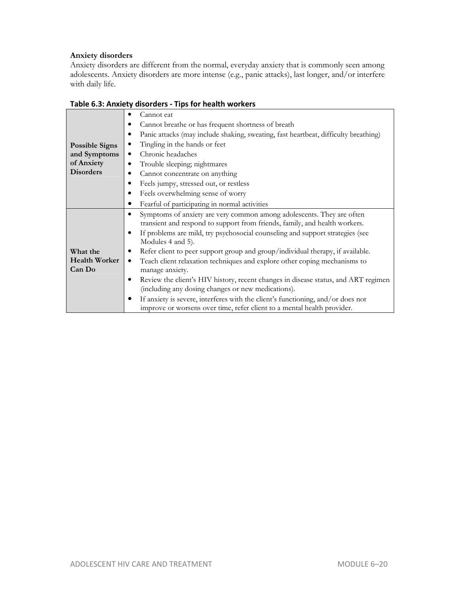# **Anxiety disorders**

Anxiety disorders are different from the normal, everyday anxiety that is commonly seen among adolescents. Anxiety disorders are more intense (e.g., panic attacks), last longer, and/or interfere with daily life.

|                       | Cannot eat<br>٠                                                                                                                                          |
|-----------------------|----------------------------------------------------------------------------------------------------------------------------------------------------------|
|                       | Cannot breathe or has frequent shortness of breath                                                                                                       |
|                       | Panic attacks (may include shaking, sweating, fast heartbeat, difficulty breathing)<br>٠                                                                 |
| <b>Possible Signs</b> | Tingling in the hands or feet<br>٠                                                                                                                       |
| and Symptoms          | Chronic headaches<br>٠                                                                                                                                   |
| of Anxiety            | Trouble sleeping; nightmares<br>٠                                                                                                                        |
| <b>Disorders</b>      | Cannot concentrate on anything                                                                                                                           |
|                       | Feels jumpy, stressed out, or restless<br>٠                                                                                                              |
|                       | Feels overwhelming sense of worry<br>٠                                                                                                                   |
|                       | Fearful of participating in normal activities                                                                                                            |
|                       | Symptoms of anxiety are very common among adolescents. They are often<br>٠<br>transient and respond to support from friends, family, and health workers. |
|                       | If problems are mild, try psychosocial counseling and support strategies (see<br>٠<br>Modules 4 and 5).                                                  |
| What the              | Refer client to peer support group and group/individual therapy, if available.<br>٠                                                                      |
| <b>Health Worker</b>  | Teach client relaxation techniques and explore other coping mechanisms to<br>٠                                                                           |
| Can Do                | manage anxiety.                                                                                                                                          |
|                       | Review the client's HIV history, recent changes in disease status, and ART regimen<br>٠                                                                  |
|                       | (including any dosing changes or new medications).                                                                                                       |
|                       | If anxiety is severe, interferes with the client's functioning, and/or does not                                                                          |
|                       | improve or worsens over time, refer client to a mental health provider.                                                                                  |

### **Table 6.3: Anxiety disorders - Tips for health workers**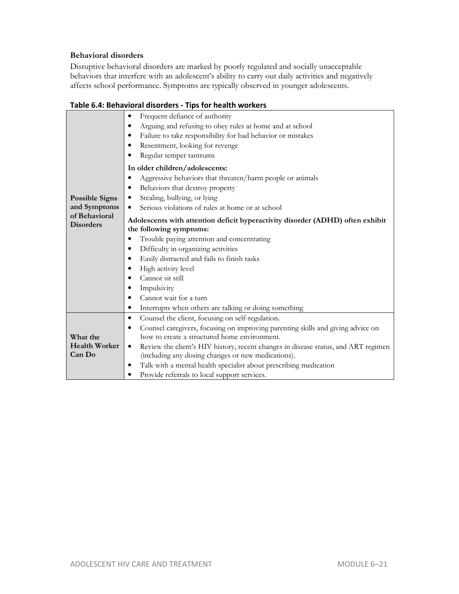#### **Behavioral disorders**

Disruptive behavioral disorders are marked by poorly regulated and socially unacceptable behaviors that interfere with an adolescent's ability to carry out daily activities and negatively affects school performance. Symptoms are typically observed in younger adolescents.

|                       | rapic 0.4. Denavioral disorders - rips for health workers                                       |  |  |
|-----------------------|-------------------------------------------------------------------------------------------------|--|--|
|                       | Frequent defiance of authority<br>$\bullet$                                                     |  |  |
|                       | Arguing and refusing to obey rules at home and at school<br>$\bullet$                           |  |  |
|                       | Failure to take responsibility for bad behavior or mistakes                                     |  |  |
|                       | Resentment, looking for revenge<br>٠                                                            |  |  |
|                       | Regular temper tantrums                                                                         |  |  |
|                       | In older children/adolescents:                                                                  |  |  |
|                       | Aggressive behaviors that threaten/harm people or animals                                       |  |  |
|                       | Behaviors that destroy property<br>٠                                                            |  |  |
| <b>Possible Signs</b> | Stealing, bullying, or lying<br>$\bullet$                                                       |  |  |
| and Symptoms          | Serious violations of rules at home or at school<br>٠                                           |  |  |
| of Behavioral         | Adolescents with attention deficit hyperactivity disorder (ADHD) often exhibit                  |  |  |
| <b>Disorders</b>      | the following symptoms:                                                                         |  |  |
|                       | Trouble paying attention and concentrating<br>٠                                                 |  |  |
|                       | Difficulty in organizing activities<br>٠                                                        |  |  |
|                       | Easily distracted and fails to finish tasks<br>٠                                                |  |  |
|                       | High activity level                                                                             |  |  |
|                       | Cannot sit still                                                                                |  |  |
|                       | Impulsivity                                                                                     |  |  |
|                       | Cannot wait for a turn<br>٠                                                                     |  |  |
|                       | Interrupts when others are talking or doing something<br>٠                                      |  |  |
|                       | Counsel the client, focusing on self-regulation.<br>٠                                           |  |  |
|                       | Counsel caregivers, focusing on improving parenting skills and giving advice on<br>٠            |  |  |
| What the              | how to create a structured home environment.                                                    |  |  |
| <b>Health Worker</b>  | Review the client's HIV history, recent changes in disease status, and ART regimen<br>$\bullet$ |  |  |
| Can Do                | (including any dosing changes or new medications).                                              |  |  |
|                       | Talk with a mental health specialist about prescribing medication                               |  |  |
|                       | Provide referrals to local support services.<br>$\bullet$                                       |  |  |

# **Table 6.4: Behavioral disorders - Tips for health workers**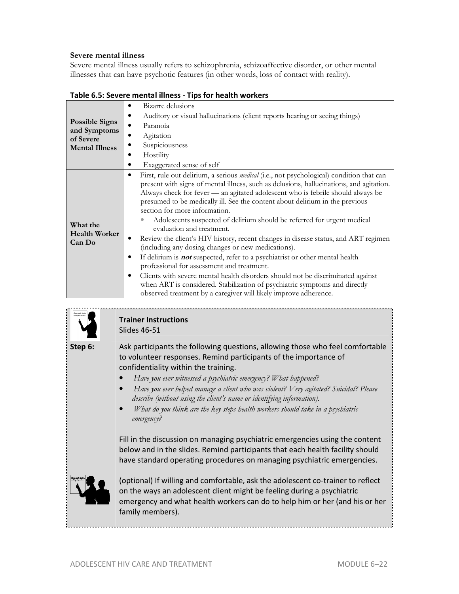#### **Severe mental illness**

Severe mental illness usually refers to schizophrenia, schizoaffective disorder, or other mental illnesses that can have psychotic features (in other words, loss of contact with reality).

|                                            | Bizarre delusions                                                                                                                                                                                                                                                                                                                                                                                                                                                                                                                                                                                                                                                                                                                                                                                                                                                                                                                                                                                                                   |
|--------------------------------------------|-------------------------------------------------------------------------------------------------------------------------------------------------------------------------------------------------------------------------------------------------------------------------------------------------------------------------------------------------------------------------------------------------------------------------------------------------------------------------------------------------------------------------------------------------------------------------------------------------------------------------------------------------------------------------------------------------------------------------------------------------------------------------------------------------------------------------------------------------------------------------------------------------------------------------------------------------------------------------------------------------------------------------------------|
|                                            | Auditory or visual hallucinations (client reports hearing or seeing things)                                                                                                                                                                                                                                                                                                                                                                                                                                                                                                                                                                                                                                                                                                                                                                                                                                                                                                                                                         |
| <b>Possible Signs</b>                      | Paranoia                                                                                                                                                                                                                                                                                                                                                                                                                                                                                                                                                                                                                                                                                                                                                                                                                                                                                                                                                                                                                            |
| and Symptoms<br>of Severe                  | Agitation                                                                                                                                                                                                                                                                                                                                                                                                                                                                                                                                                                                                                                                                                                                                                                                                                                                                                                                                                                                                                           |
| <b>Mental Illness</b>                      | Suspiciousness                                                                                                                                                                                                                                                                                                                                                                                                                                                                                                                                                                                                                                                                                                                                                                                                                                                                                                                                                                                                                      |
|                                            | Hostility                                                                                                                                                                                                                                                                                                                                                                                                                                                                                                                                                                                                                                                                                                                                                                                                                                                                                                                                                                                                                           |
|                                            | Exaggerated sense of self                                                                                                                                                                                                                                                                                                                                                                                                                                                                                                                                                                                                                                                                                                                                                                                                                                                                                                                                                                                                           |
| What the<br><b>Health Worker</b><br>Can Do | First, rule out delirium, a serious medical (i.e., not psychological) condition that can<br>٠<br>present with signs of mental illness, such as delusions, hallucinations, and agitation.<br>Always check for fever - an agitated adolescent who is febrile should always be<br>presumed to be medically ill. See the content about delinum in the previous<br>section for more information.<br>Adolescents suspected of delirium should be referred for urgent medical<br>evaluation and treatment.<br>Review the client's HIV history, recent changes in disease status, and ART regimen<br>(including any dosing changes or new medications).<br>If delirium is <b>not</b> suspected, refer to a psychiatrist or other mental health<br>٠<br>professional for assessment and treatment.<br>Clients with severe mental health disorders should not be discriminated against<br>٠<br>when ART is considered. Stabilization of psychiatric symptoms and directly<br>observed treatment by a caregiver will likely improve adherence. |

**Table 6.5: Severe mental illness - Tips for health workers** 



# **Trainer Instructions**  Slides 46-51

**Step 6:** Ask participants the following questions, allowing those who feel comfortable to volunteer responses. Remind participants of the importance of confidentiality within the training.

- *Have you ever witnessed a psychiatric emergency? What happened?*
- *Have you ever helped manage a client who was violent? Very agitated? Suicidal? Please describe (without using the client's name or identifying information).*
- *What do you think are the key steps health workers should take in a psychiatric emergency?*

Fill in the discussion on managing psychiatric emergencies using the content below and in the slides. Remind participants that each health facility should have standard operating procedures on managing psychiatric emergencies.



(optional) If willing and comfortable, ask the adolescent co-trainer to reflect on the ways an adolescent client might be feeling during a psychiatric emergency and what health workers can do to help him or her (and his or her family members).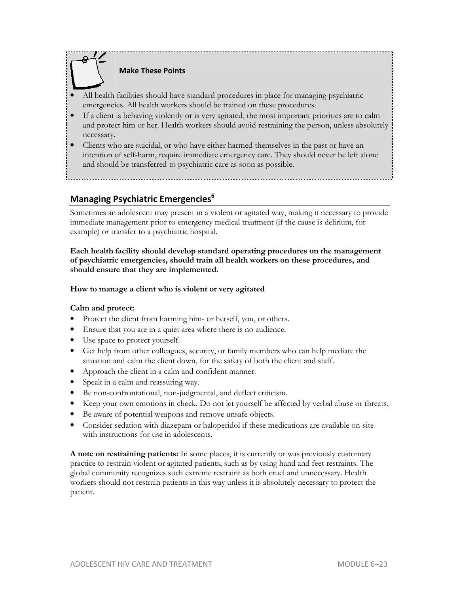

# **Make These Points**

- All health facilities should have standard procedures in place for managing psychiatric emergencies. All health workers should be trained on these procedures.
- If a client is behaving violently or is very agitated, the most important priorities are to calm and protect him or her. Health workers should avoid restraining the person, unless absolutely necessary.
- Clients who are suicidal, or who have either harmed themselves in the past or have an intention of self-harm, require immediate emergency care. They should never be left alone and should be transferred to psychiatric care as soon as possible.

# **Managing Psychiatric Emergencies<sup>6</sup>**

Sometimes an adolescent may present in a violent or agitated way, making it necessary to provide immediate management prior to emergency medical treatment (if the cause is delirium, for example) or transfer to a psychiatric hospital.

**Each health facility should develop standard operating procedures on the management of psychiatric emergencies, should train all health workers on these procedures, and should ensure that they are implemented.**

#### **How to manage a client who is violent or very agitated**

#### **Calm and protect:**

- Protect the client from harming him- or herself, you, or others.
- Ensure that you are in a quiet area where there is no audience.
- Use space to protect yourself.
- Get help from other colleagues, security, or family members who can help mediate the situation and calm the client down, for the safety of both the client and staff.
- Approach the client in a calm and confident manner.
- Speak in a calm and reassuring way.
- Be non-confrontational, non-judgmental, and deflect criticism.
- Keep your own emotions in check. Do not let yourself be affected by verbal abuse or threats.
- Be aware of potential weapons and remove unsafe objects.
- Consider sedation with diazepam or haloperidol if these medications are available on-site with instructions for use in adolescents.

**A note on restraining patients:** In some places, it is currently or was previously customary practice to restrain violent or agitated patients, such as by using hand and feet restraints. The global community recognizes such extreme restraint as both cruel and unnecessary. Health workers should not restrain patients in this way unless it is absolutely necessary to protect the patient.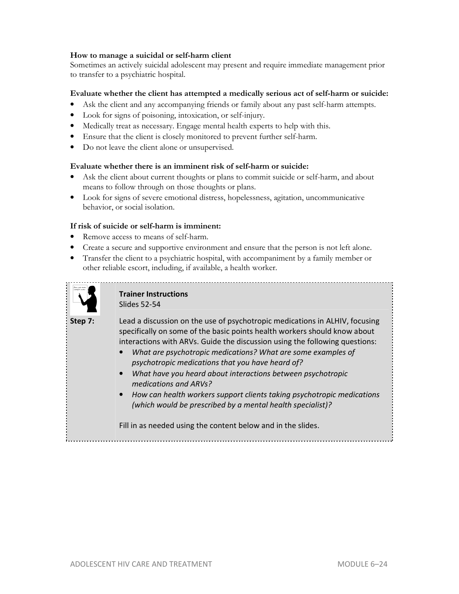#### **How to manage a suicidal or self-harm client**

Sometimes an actively suicidal adolescent may present and require immediate management prior to transfer to a psychiatric hospital.

#### **Evaluate whether the client has attempted a medically serious act of self-harm or suicide:**

- Ask the client and any accompanying friends or family about any past self-harm attempts.
- Look for signs of poisoning, intoxication, or self-injury.
- Medically treat as necessary. Engage mental health experts to help with this.
- Ensure that the client is closely monitored to prevent further self-harm.
- Do not leave the client alone or unsupervised.

#### **Evaluate whether there is an imminent risk of self-harm or suicide:**

- Ask the client about current thoughts or plans to commit suicide or self-harm, and about means to follow through on those thoughts or plans.
- Look for signs of severe emotional distress, hopelessness, agitation, uncommunicative behavior, or social isolation.

#### **If risk of suicide or self-harm is imminent:**

- Remove access to means of self-harm.
- Create a secure and supportive environment and ensure that the person is not left alone.
- Transfer the client to a psychiatric hospital, with accompaniment by a family member or other reliable escort, including, if available, a health worker.



# **Trainer Instructions**  Slides 52-54

**Step 7:** Lead a discussion on the use of psychotropic medications in ALHIV, focusing specifically on some of the basic points health workers should know about interactions with ARVs. Guide the discussion using the following questions:

- *What are psychotropic medications? What are some examples of psychotropic medications that you have heard of?*
- *What have you heard about interactions between psychotropic medications and ARVs?*
- *How can health workers support clients taking psychotropic medications (which would be prescribed by a mental health specialist)?*

Fill in as needed using the content below and in the slides.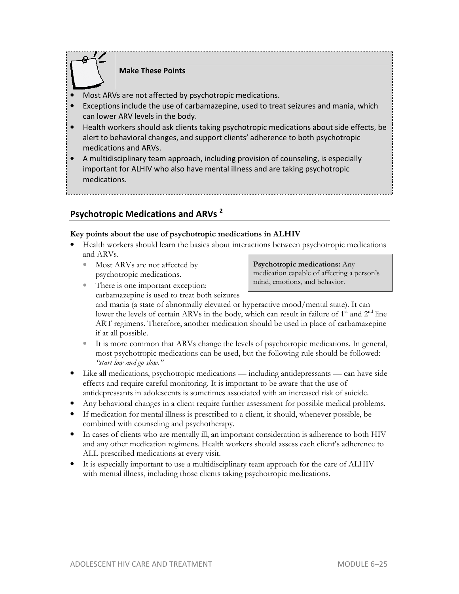# **Make These Points**

- Most ARVs are not affected by psychotropic medications.
- Exceptions include the use of carbamazepine, used to treat seizures and mania, which can lower ARV levels in the body.
- Health workers should ask clients taking psychotropic medications about side effects, be alert to behavioral changes, and support clients' adherence to both psychotropic medications and ARVs.
- A multidisciplinary team approach, including provision of counseling, is especially important for ALHIV who also have mental illness and are taking psychotropic medications.

# **Psychotropic Medications and ARVs <sup>2</sup>**

#### **Key points about the use of psychotropic medications in ALHIV**

- Health workers should learn the basics about interactions between psychotropic medications and ARVs.
	- Most ARVs are not affected by psychotropic medications.

#### **Psychotropic medications:** Any medication capable of affecting a person's mind, emotions, and behavior.

There is one important exception: carbamazepine is used to treat both seizures

and mania (a state of abnormally elevated or hyperactive mood/mental state). It can lower the levels of certain ARVs in the body, which can result in failure of  $1<sup>st</sup>$  and  $2<sup>nd</sup>$  line ART regimens. Therefore, another medication should be used in place of carbamazepine if at all possible.

- It is more common that ARVs change the levels of psychotropic medications. In general, most psychotropic medications can be used, but the following rule should be followed: *"start low and go slow."*
- Like all medications, psychotropic medications including antidepressants can have side effects and require careful monitoring. It is important to be aware that the use of antidepressants in adolescents is sometimes associated with an increased risk of suicide.
- Any behavioral changes in a client require further assessment for possible medical problems.
- If medication for mental illness is prescribed to a client, it should, whenever possible, be combined with counseling and psychotherapy.
- In cases of clients who are mentally ill, an important consideration is adherence to both HIV and any other medication regimens. Health workers should assess each client's adherence to ALL prescribed medications at every visit.
- It is especially important to use a multidisciplinary team approach for the care of ALHIV with mental illness, including those clients taking psychotropic medications.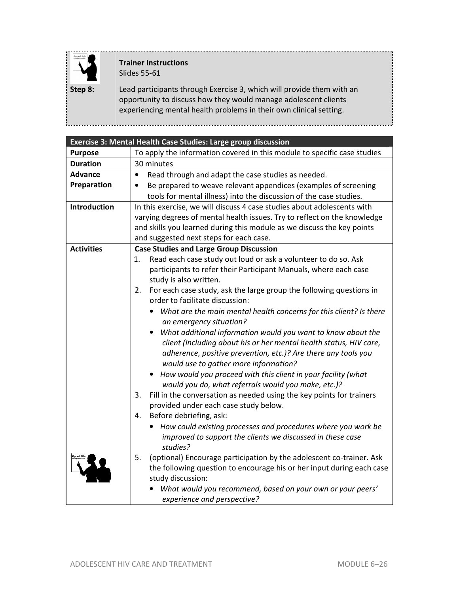

# **Trainer Instructions**  Slides 55-61

**Step 8:** Lead participants through Exercise 3, which will provide them with an opportunity to discuss how they would manage adolescent clients experiencing mental health problems in their own clinical setting.

|                     | Exercise 3: Mental Health Case Studies: Large group discussion                                                       |  |  |
|---------------------|----------------------------------------------------------------------------------------------------------------------|--|--|
| <b>Purpose</b>      | To apply the information covered in this module to specific case studies                                             |  |  |
| <b>Duration</b>     | 30 minutes                                                                                                           |  |  |
| <b>Advance</b>      | Read through and adapt the case studies as needed.<br>$\bullet$                                                      |  |  |
| Preparation         | Be prepared to weave relevant appendices (examples of screening<br>$\bullet$                                         |  |  |
|                     | tools for mental illness) into the discussion of the case studies.                                                   |  |  |
| <b>Introduction</b> | In this exercise, we will discuss 4 case studies about adolescents with                                              |  |  |
|                     | varying degrees of mental health issues. Try to reflect on the knowledge                                             |  |  |
|                     | and skills you learned during this module as we discuss the key points                                               |  |  |
|                     | and suggested next steps for each case.                                                                              |  |  |
| <b>Activities</b>   | <b>Case Studies and Large Group Discussion</b>                                                                       |  |  |
|                     | Read each case study out loud or ask a volunteer to do so. Ask<br>1.                                                 |  |  |
|                     | participants to refer their Participant Manuals, where each case                                                     |  |  |
|                     | study is also written.                                                                                               |  |  |
|                     | For each case study, ask the large group the following questions in<br>2.<br>order to facilitate discussion:         |  |  |
|                     | What are the main mental health concerns for this client? Is there<br>$\bullet$                                      |  |  |
|                     | an emergency situation?                                                                                              |  |  |
|                     | What additional information would you want to know about the                                                         |  |  |
|                     | client (including about his or her mental health status, HIV care,                                                   |  |  |
|                     | adherence, positive prevention, etc.)? Are there any tools you                                                       |  |  |
|                     | would use to gather more information?                                                                                |  |  |
|                     | How would you proceed with this client in your facility (what<br>would you do, what referrals would you make, etc.)? |  |  |
|                     | 3.<br>Fill in the conversation as needed using the key points for trainers                                           |  |  |
|                     | provided under each case study below.                                                                                |  |  |
|                     | Before debriefing, ask:<br>4.                                                                                        |  |  |
|                     | How could existing processes and procedures where you work be                                                        |  |  |
|                     | improved to support the clients we discussed in these case<br>studies?                                               |  |  |
|                     | (optional) Encourage participation by the adolescent co-trainer. Ask<br>5.                                           |  |  |
|                     | the following question to encourage his or her input during each case                                                |  |  |
|                     | study discussion:                                                                                                    |  |  |
|                     | What would you recommend, based on your own or your peers'<br>experience and perspective?                            |  |  |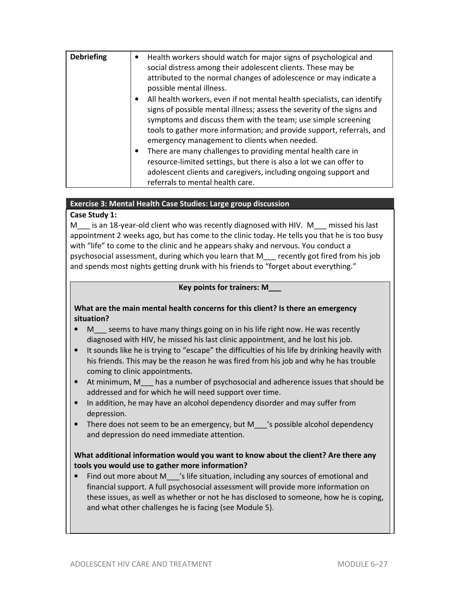| <b>Debriefing</b> | Health workers should watch for major signs of psychological and<br>$\bullet$<br>social distress among their adolescent clients. These may be<br>attributed to the normal changes of adolescence or may indicate a<br>possible mental illness.                                                                                                           |
|-------------------|----------------------------------------------------------------------------------------------------------------------------------------------------------------------------------------------------------------------------------------------------------------------------------------------------------------------------------------------------------|
|                   | All health workers, even if not mental health specialists, can identify<br>$\bullet$<br>signs of possible mental illness; assess the severity of the signs and<br>symptoms and discuss them with the team; use simple screening<br>tools to gather more information; and provide support, referrals, and<br>emergency management to clients when needed. |
|                   | There are many challenges to providing mental health care in<br>$\bullet$<br>resource-limited settings, but there is also a lot we can offer to<br>adolescent clients and caregivers, including ongoing support and<br>referrals to mental health care.                                                                                                  |

#### **Exercise 3: Mental Health Case Studies: Large group discussion**

# **Case Study 1:**

M is an 18-year-old client who was recently diagnosed with HIV. M missed his last appointment 2 weeks ago, but has come to the clinic today. He tells you that he is too busy with "life" to come to the clinic and he appears shaky and nervous. You conduct a psychosocial assessment, during which you learn that M\_\_\_ recently got fired from his job and spends most nights getting drunk with his friends to "forget about everything."

#### **Key points for trainers: M\_\_\_**

**What are the main mental health concerns for this client? Is there an emergency situation?** 

- M seems to have many things going on in his life right now. He was recently diagnosed with HIV, he missed his last clinic appointment, and he lost his job.
- It sounds like he is trying to "escape" the difficulties of his life by drinking heavily with his friends. This may be the reason he was fired from his job and why he has trouble coming to clinic appointments.
- At minimum, M\_\_\_ has a number of psychosocial and adherence issues that should be addressed and for which he will need support over time.
- In addition, he may have an alcohol dependency disorder and may suffer from depression.
- There does not seem to be an emergency, but M show is possible alcohol dependency and depression do need immediate attention.

# **What additional information would you want to know about the client? Are there any tools you would use to gather more information?**

• Find out more about M  $\prime$ 's life situation, including any sources of emotional and financial support. A full psychosocial assessment will provide more information on these issues, as well as whether or not he has disclosed to someone, how he is coping, and what other challenges he is facing (see Module 5).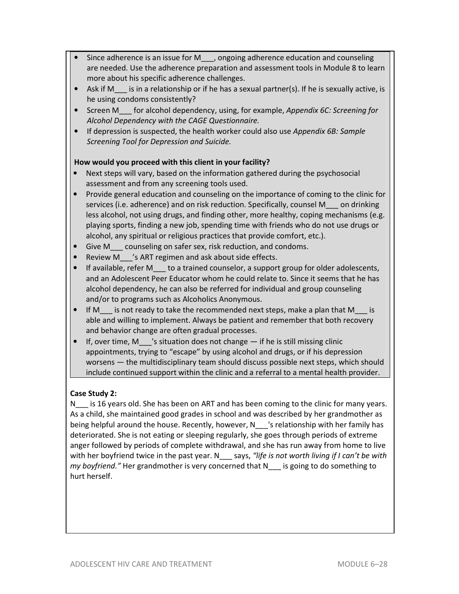- Since adherence is an issue for M\_\_\_, ongoing adherence education and counseling are needed. Use the adherence preparation and assessment tools in Module 8 to learn more about his specific adherence challenges.
- Ask if M is in a relationship or if he has a sexual partner(s). If he is sexually active, is he using condoms consistently?
- Screen M\_\_\_ for alcohol dependency, using, for example, *Appendix 6C: Screening for Alcohol Dependency with the CAGE Questionnaire.*
- If depression is suspected, the health worker could also use *Appendix 6B: Sample Screening Tool for Depression and Suicide.*

# **How would you proceed with this client in your facility?**

- Next steps will vary, based on the information gathered during the psychosocial assessment and from any screening tools used.
- Provide general education and counseling on the importance of coming to the clinic for services (i.e. adherence) and on risk reduction. Specifically, counsel M\_\_\_ on drinking less alcohol, not using drugs, and finding other, more healthy, coping mechanisms (e.g. playing sports, finding a new job, spending time with friends who do not use drugs or alcohol, any spiritual or religious practices that provide comfort, etc.).
- Give M \_\_\_ counseling on safer sex, risk reduction, and condoms.
- Review M 's ART regimen and ask about side effects.
- If available, refer M to a trained counselor, a support group for older adolescents, and an Adolescent Peer Educator whom he could relate to. Since it seems that he has alcohol dependency, he can also be referred for individual and group counseling and/or to programs such as Alcoholics Anonymous.
- If M is not ready to take the recommended next steps, make a plan that M is able and willing to implement. Always be patient and remember that both recovery and behavior change are often gradual processes.
- If, over time, M  $\prime$ 's situation does not change  $-$  if he is still missing clinic appointments, trying to "escape" by using alcohol and drugs, or if his depression worsens — the multidisciplinary team should discuss possible next steps, which should include continued support within the clinic and a referral to a mental health provider.

# **Case Study 2:**

N<sub>\_\_\_</sub> is 16 years old. She has been on ART and has been coming to the clinic for many years. As a child, she maintained good grades in school and was described by her grandmother as being helpful around the house. Recently, however, N\_\_\_'s relationship with her family has deteriorated. She is not eating or sleeping regularly, she goes through periods of extreme anger followed by periods of complete withdrawal, and she has run away from home to live with her boyfriend twice in the past year. N\_\_\_ says, "life is not worth living if I can't be with *my boyfriend."* Her grandmother is very concerned that N\_\_\_ is going to do something to hurt herself.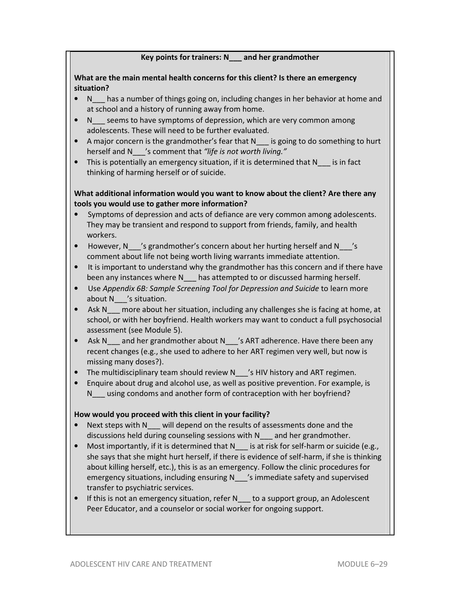### **Key points for trainers: N\_\_\_ and her grandmother**

### **What are the main mental health concerns for this client? Is there an emergency situation?**

- N has a number of things going on, including changes in her behavior at home and at school and a history of running away from home.
- N seems to have symptoms of depression, which are very common among adolescents. These will need to be further evaluated.
- A major concern is the grandmother's fear that N is going to do something to hurt herself and N\_\_\_'s comment that *"life is not worth living."*
- This is potentially an emergency situation, if it is determined that N is in fact thinking of harming herself or of suicide.

# **What additional information would you want to know about the client? Are there any tools you would use to gather more information?**

- Symptoms of depression and acts of defiance are very common among adolescents. They may be transient and respond to support from friends, family, and health workers.
- However, N<sub>1</sub>'s grandmother's concern about her hurting herself and N<sub>2</sub>'s comment about life not being worth living warrants immediate attention.
- It is important to understand why the grandmother has this concern and if there have been any instances where N<sub>ndes</sub> has attempted to or discussed harming herself.
- Use *Appendix 6B: Sample Screening Tool for Depression and Suicide* to learn more about N<sub>z</sub> 's situation.
- Ask N more about her situation, including any challenges she is facing at home, at school, or with her boyfriend. Health workers may want to conduct a full psychosocial assessment (see Module 5).
- Ask N\_\_\_ and her grandmother about N\_\_\_'s ART adherence. Have there been any recent changes (e.g., she used to adhere to her ART regimen very well, but now is missing many doses?).
- The multidisciplinary team should review N \_\_\_'s HIV history and ART regimen.
- Enquire about drug and alcohol use, as well as positive prevention. For example, is N using condoms and another form of contraception with her boyfriend?

# **How would you proceed with this client in your facility?**

- Next steps with N will depend on the results of assessments done and the discussions held during counseling sessions with N\_\_\_ and her grandmother.
- Most importantly, if it is determined that N is at risk for self-harm or suicide (e.g., she says that she might hurt herself, if there is evidence of self-harm, if she is thinking about killing herself, etc.), this is as an emergency. Follow the clinic procedures for emergency situations, including ensuring N\_\_\_'s immediate safety and supervised transfer to psychiatric services.
- If this is not an emergency situation, refer N to a support group, an Adolescent Peer Educator, and a counselor or social worker for ongoing support.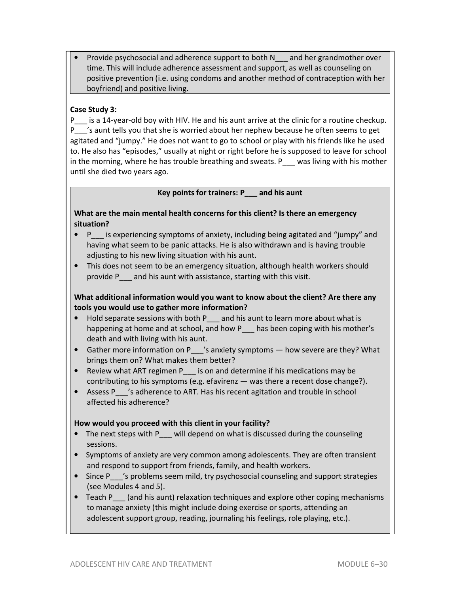• Provide psychosocial and adherence support to both N\_\_\_ and her grandmother over time. This will include adherence assessment and support, as well as counseling on positive prevention (i.e. using condoms and another method of contraception with her boyfriend) and positive living.

# **Case Study 3:**

P\_\_\_ is a 14-year-old boy with HIV. He and his aunt arrive at the clinic for a routine checkup. P 's aunt tells you that she is worried about her nephew because he often seems to get agitated and "jumpy." He does not want to go to school or play with his friends like he used to. He also has "episodes," usually at night or right before he is supposed to leave for school in the morning, where he has trouble breathing and sweats. P  $\blacksquare$  was living with his mother until she died two years ago.

#### **Key points for trainers: P\_\_\_ and his aunt**

### **What are the main mental health concerns for this client? Is there an emergency situation?**

- P is experiencing symptoms of anxiety, including being agitated and "jumpy" and having what seem to be panic attacks. He is also withdrawn and is having trouble adjusting to his new living situation with his aunt.
- This does not seem to be an emergency situation, although health workers should provide P\_\_\_ and his aunt with assistance, starting with this visit.

# **What additional information would you want to know about the client? Are there any tools you would use to gather more information?**

- Hold separate sessions with both P and his aunt to learn more about what is happening at home and at school, and how P\_\_\_ has been coping with his mother's death and with living with his aunt.
- Gather more information on P\_\_\_'s anxiety symptoms how severe are they? What brings them on? What makes them better?
- Review what ART regimen P is on and determine if his medications may be contributing to his symptoms (e.g. efavirenz — was there a recent dose change?).
- Assess P 's adherence to ART. Has his recent agitation and trouble in school affected his adherence?

# **How would you proceed with this client in your facility?**

- The next steps with P will depend on what is discussed during the counseling sessions.
- Symptoms of anxiety are very common among adolescents. They are often transient and respond to support from friends, family, and health workers.
- Since P\_\_\_'s problems seem mild, try psychosocial counseling and support strategies (see Modules 4 and 5).
- Teach P (and his aunt) relaxation techniques and explore other coping mechanisms to manage anxiety (this might include doing exercise or sports, attending an adolescent support group, reading, journaling his feelings, role playing, etc.).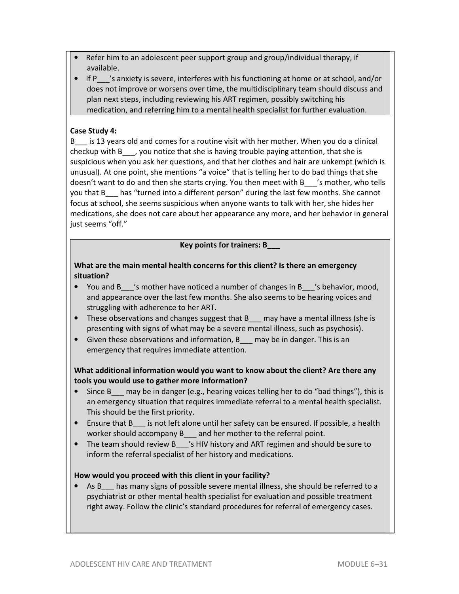- Refer him to an adolescent peer support group and group/individual therapy, if available.
- If P 's anxiety is severe, interferes with his functioning at home or at school, and/or does not improve or worsens over time, the multidisciplinary team should discuss and plan next steps, including reviewing his ART regimen, possibly switching his medication, and referring him to a mental health specialist for further evaluation.

### **Case Study 4:**

B\_\_\_ is 13 years old and comes for a routine visit with her mother. When you do a clinical checkup with B\_\_\_, you notice that she is having trouble paying attention, that she is suspicious when you ask her questions, and that her clothes and hair are unkempt (which is unusual). At one point, she mentions "a voice" that is telling her to do bad things that she doesn't want to do and then she starts crying. You then meet with B\_\_\_'s mother, who tells you that B\_\_\_ has "turned into a different person" during the last few months. She cannot focus at school, she seems suspicious when anyone wants to talk with her, she hides her medications, she does not care about her appearance any more, and her behavior in general just seems "off."

#### **Key points for trainers: B\_\_\_**

### **What are the main mental health concerns for this client? Is there an emergency situation?**

- You and B *i*s mother have noticed a number of changes in B *i*s behavior, mood, and appearance over the last few months. She also seems to be hearing voices and struggling with adherence to her ART.
- These observations and changes suggest that B may have a mental illness (she is presenting with signs of what may be a severe mental illness, such as psychosis).
- Given these observations and information, B may be in danger. This is an emergency that requires immediate attention.

# **What additional information would you want to know about the client? Are there any tools you would use to gather more information?**

- Since B may be in danger (e.g., hearing voices telling her to do "bad things"), this is an emergency situation that requires immediate referral to a mental health specialist. This should be the first priority.
- Ensure that B is not left alone until her safety can be ensured. If possible, a health worker should accompany B and her mother to the referral point.
- The team should review B 3 SHIV history and ART regimen and should be sure to inform the referral specialist of her history and medications.

#### **How would you proceed with this client in your facility?**

• As B has many signs of possible severe mental illness, she should be referred to a psychiatrist or other mental health specialist for evaluation and possible treatment right away. Follow the clinic's standard procedures for referral of emergency cases.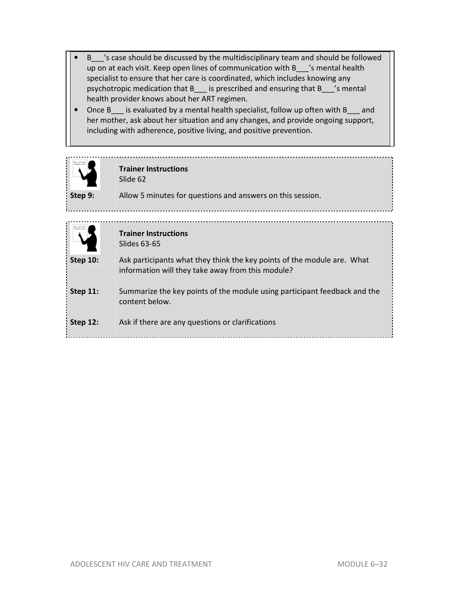- B\_\_\_'s case should be discussed by the multidisciplinary team and should be followed up on at each visit. Keep open lines of communication with B\_\_\_'s mental health specialist to ensure that her care is coordinated, which includes knowing any psychotropic medication that B\_\_\_ is prescribed and ensuring that B\_\_\_'s mental health provider knows about her ART regimen.
- Once B is evaluated by a mental health specialist, follow up often with B and her mother, ask about her situation and any changes, and provide ongoing support, including with adherence, positive living, and positive prevention.

|                 | <b>Trainer Instructions</b><br>Slide 62                                                                                      |
|-----------------|------------------------------------------------------------------------------------------------------------------------------|
| Step 9:         | Allow 5 minutes for questions and answers on this session.                                                                   |
|                 | <b>Trainer Instructions</b><br>Slides 63-65                                                                                  |
| <b>Step 10:</b> | Ask participants what they think the key points of the module are. What<br>information will they take away from this module? |
| <b>Step 11:</b> | Summarize the key points of the module using participant feedback and the<br>content below.                                  |
| <b>Step 12:</b> | Ask if there are any questions or clarifications                                                                             |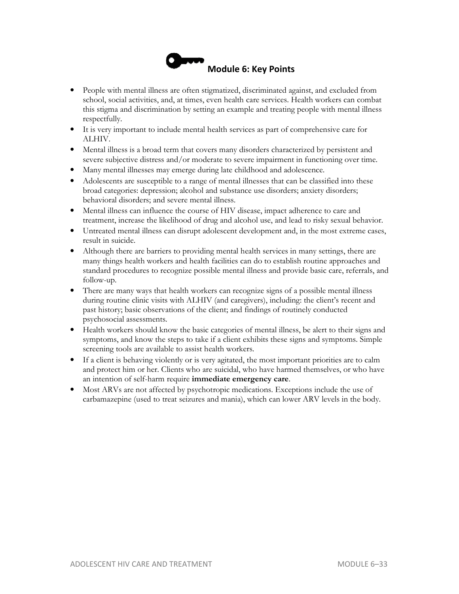

- People with mental illness are often stigmatized, discriminated against, and excluded from school, social activities, and, at times, even health care services. Health workers can combat this stigma and discrimination by setting an example and treating people with mental illness respectfully.
- It is very important to include mental health services as part of comprehensive care for ALHIV.
- Mental illness is a broad term that covers many disorders characterized by persistent and severe subjective distress and/or moderate to severe impairment in functioning over time.
- Many mental illnesses may emerge during late childhood and adolescence.
- Adolescents are susceptible to a range of mental illnesses that can be classified into these broad categories: depression; alcohol and substance use disorders; anxiety disorders; behavioral disorders; and severe mental illness.
- Mental illness can influence the course of HIV disease, impact adherence to care and treatment, increase the likelihood of drug and alcohol use, and lead to risky sexual behavior.
- Untreated mental illness can disrupt adolescent development and, in the most extreme cases, result in suicide.
- Although there are barriers to providing mental health services in many settings, there are many things health workers and health facilities can do to establish routine approaches and standard procedures to recognize possible mental illness and provide basic care, referrals, and follow-up.
- There are many ways that health workers can recognize signs of a possible mental illness during routine clinic visits with ALHIV (and caregivers), including: the client's recent and past history; basic observations of the client; and findings of routinely conducted psychosocial assessments.
- Health workers should know the basic categories of mental illness, be alert to their signs and symptoms, and know the steps to take if a client exhibits these signs and symptoms. Simple screening tools are available to assist health workers.
- If a client is behaving violently or is very agitated, the most important priorities are to calm and protect him or her. Clients who are suicidal, who have harmed themselves, or who have an intention of self-harm require **immediate emergency care**.
- Most ARVs are not affected by psychotropic medications. Exceptions include the use of carbamazepine (used to treat seizures and mania), which can lower ARV levels in the body.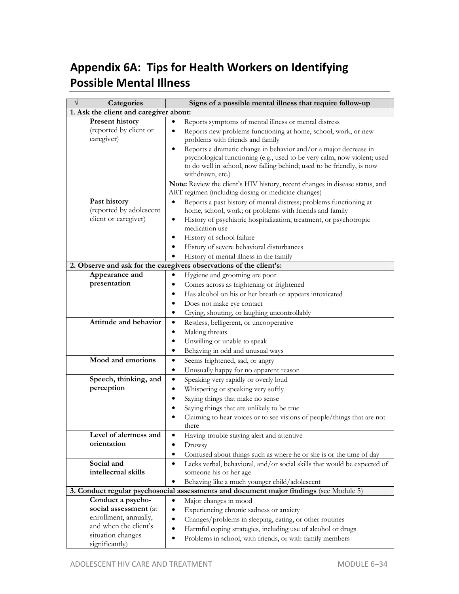# **Appendix 6A: Tips for Health Workers on Identifying Possible Mental Illness**

| V | Categories                             | Signs of a possible mental illness that require follow-up                              |  |  |
|---|----------------------------------------|----------------------------------------------------------------------------------------|--|--|
|   | 1. Ask the client and caregiver about: |                                                                                        |  |  |
|   | <b>Present history</b>                 | Reports symptoms of mental illness or mental distress                                  |  |  |
|   | (reported by client or                 | Reports new problems functioning at home, school, work, or new<br>$\bullet$            |  |  |
|   | caregiver)                             | problems with friends and family                                                       |  |  |
|   |                                        | Reports a dramatic change in behavior and/or a major decrease in<br>$\bullet$          |  |  |
|   |                                        | psychological functioning (e.g., used to be very calm, now violent; used               |  |  |
|   |                                        | to do well in school, now falling behind; used to be friendly, is now                  |  |  |
|   |                                        | withdrawn, etc.)                                                                       |  |  |
|   |                                        | Note: Review the client's HIV history, recent changes in disease status, and           |  |  |
|   |                                        | ART regimen (including dosing or medicine changes)                                     |  |  |
|   | Past history                           | $\bullet$<br>Reports a past history of mental distress; problems functioning at        |  |  |
|   | (reported by adolescent                | home, school, work; or problems with friends and family                                |  |  |
|   | client or caregiver)                   | History of psychiatric hospitalization, treatment, or psychotropic<br>٠                |  |  |
|   |                                        | medication use                                                                         |  |  |
|   |                                        | History of school failure<br>$\bullet$                                                 |  |  |
|   |                                        | History of severe behavioral disturbances                                              |  |  |
|   |                                        | History of mental illness in the family                                                |  |  |
|   |                                        | 2. Observe and ask for the caregivers observations of the client's:                    |  |  |
|   | Appearance and                         | Hygiene and grooming are poor<br>٠                                                     |  |  |
|   | presentation                           | Comes across as frightening or frightened                                              |  |  |
|   |                                        | Has alcohol on his or her breath or appears intoxicated                                |  |  |
|   |                                        | Does not make eye contact                                                              |  |  |
|   |                                        | Crying, shouting, or laughing uncontrollably<br>٠                                      |  |  |
|   | Attitude and behavior                  | Restless, belligerent, or uncooperative<br>$\bullet$                                   |  |  |
|   |                                        | Making threats<br>$\bullet$                                                            |  |  |
|   |                                        | Unwilling or unable to speak<br>$\bullet$                                              |  |  |
|   |                                        | Behaving in odd and unusual ways<br>$\bullet$                                          |  |  |
|   | Mood and emotions                      | $\bullet$<br>Seems frightened, sad, or angry                                           |  |  |
|   |                                        | ٠                                                                                      |  |  |
|   | Speech, thinking, and                  | Unusually happy for no apparent reason<br>$\bullet$                                    |  |  |
|   | perception                             | Speaking very rapidly or overly loud                                                   |  |  |
|   |                                        | Whispering or speaking very softly<br>$\bullet$                                        |  |  |
|   |                                        | Saying things that make no sense<br>$\bullet$                                          |  |  |
|   |                                        | Saying things that are unlikely to be true<br>$\bullet$                                |  |  |
|   |                                        | Claiming to hear voices or to see visions of people/things that are not                |  |  |
|   |                                        | there                                                                                  |  |  |
|   | Level of alertness and                 | Having trouble staying alert and attentive                                             |  |  |
|   | orientation                            | $\bullet$<br>Drowsy                                                                    |  |  |
|   |                                        | Confused about things such as where he or she is or the time of day<br>$\bullet$       |  |  |
|   | Social and                             | Lacks verbal, behavioral, and/or social skills that would be expected of<br>$\bullet$  |  |  |
|   | intellectual skills                    | someone his or her age                                                                 |  |  |
|   |                                        | Behaving like a much younger child/adolescent<br>$\bullet$                             |  |  |
|   |                                        | 3. Conduct regular psychosocial assessments and document major findings (see Module 5) |  |  |
|   | Conduct a psycho-                      | Major changes in mood<br>٠                                                             |  |  |
|   | social assessment (at                  | Experiencing chronic sadness or anxiety<br>$\bullet$                                   |  |  |
|   | enrollment, annually,                  | Changes/problems in sleeping, eating, or other routines<br>$\bullet$                   |  |  |
|   | and when the client's                  | Harmful coping strategies, including use of alcohol or drugs<br>$\bullet$              |  |  |
|   | situation changes                      | Problems in school, with friends, or with family members<br>٠                          |  |  |
|   | significantly)                         |                                                                                        |  |  |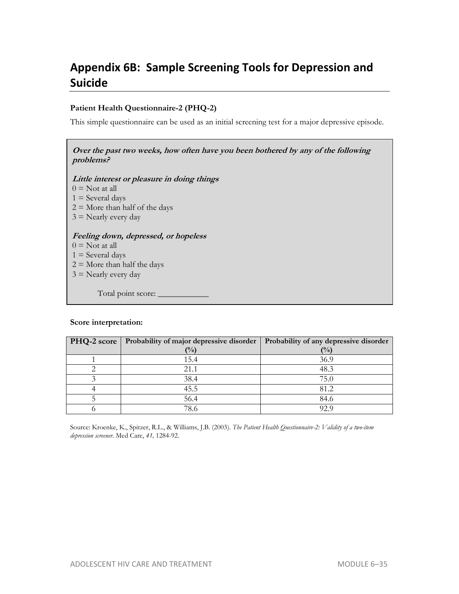# **Appendix 6B: Sample Screening Tools for Depression and Suicide**

#### **Patient Health Questionnaire-2 (PHQ-2)**

This simple questionnaire can be used as an initial screening test for a major depressive episode.

# **Over the past two weeks, how often have you been bothered by any of the following problems?**

**Little interest or pleasure in doing things** 

 $0 =$  Not at all

 $1 =$  Several days

- $2 =$  More than half of the days
- $3$  = Nearly every day

#### **Feeling down, depressed, or hopeless**

- $0 =$  Not at all
- $1 =$  Several days
- $2 =$  More than half the days
- $3$  = Nearly every day

Total point score: \_

#### **Score interpretation:**

| PHQ-2 score | Probability of major depressive disorder | Probability of any depressive disorder |
|-------------|------------------------------------------|----------------------------------------|
|             | (%)                                      | (%)                                    |
|             | 15.4                                     | 36.9                                   |
|             | 21.1                                     | 48.3                                   |
|             | 38.4                                     | 75.0                                   |
|             | 45.5                                     | 81.2                                   |
|             | 56.4                                     | 84.6                                   |
|             | 78.6                                     | 92.9                                   |

Source: Kroenke, K., Spitzer, R.L., & Williams, J.B. (2003). *The Patient Health Questionnaire-2: Validity of a two-item depression screener.* Med Care, *41,* 1284-92.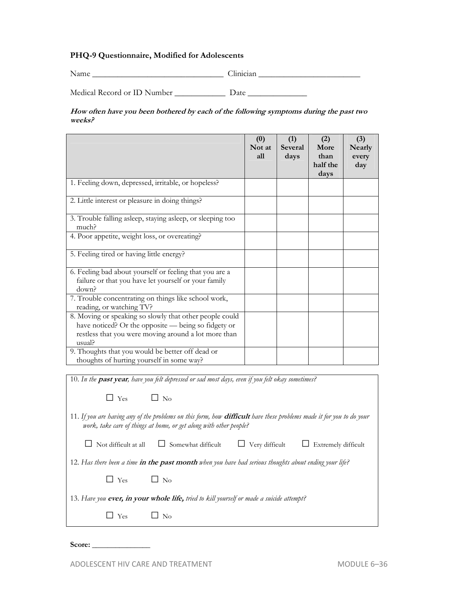#### **PHQ-9 Questionnaire, Modified for Adolescents**

Name Linician Linician Linician Linician Linician Linician Linician Linician Linician Linician Linician Linician Linician Linician Linician Linician Linician Linician Linician Linician Linician Linician Linician Linician L

Medical Record or ID Number Date \_\_\_\_\_\_\_\_\_\_\_\_ Date \_\_\_\_\_\_\_\_\_\_\_\_\_\_\_\_\_\_\_\_\_\_\_\_\_\_\_\_\_\_

**How often have you been bothered by each of the following symptoms during the past two weeks?**

|                                                                                                                                                                                  | (0)<br>Not at<br>all | (1)<br><b>Several</b><br>days | (2)<br>More<br>than<br>half the<br>days | (3)<br>Nearly<br>every<br>day |
|----------------------------------------------------------------------------------------------------------------------------------------------------------------------------------|----------------------|-------------------------------|-----------------------------------------|-------------------------------|
| 1. Feeling down, depressed, irritable, or hopeless?                                                                                                                              |                      |                               |                                         |                               |
| 2. Little interest or pleasure in doing things?                                                                                                                                  |                      |                               |                                         |                               |
| 3. Trouble falling asleep, staying asleep, or sleeping too<br>much?                                                                                                              |                      |                               |                                         |                               |
| 4. Poor appetite, weight loss, or overeating?                                                                                                                                    |                      |                               |                                         |                               |
| 5. Feeling tired or having little energy?                                                                                                                                        |                      |                               |                                         |                               |
| 6. Feeling bad about yourself or feeling that you are a<br>failure or that you have let yourself or your family<br>down?                                                         |                      |                               |                                         |                               |
| 7. Trouble concentrating on things like school work,<br>reading, or watching TV?                                                                                                 |                      |                               |                                         |                               |
| 8. Moving or speaking so slowly that other people could<br>have noticed? Or the opposite — being so fidgety or<br>restless that you were moving around a lot more than<br>usual? |                      |                               |                                         |                               |
| 9. Thoughts that you would be better off dead or<br>thoughts of hurting yourself in some way?                                                                                    |                      |                               |                                         |                               |

10. *In the* **past year***, have you felt depressed or sad most days, even if you felt okay sometimes?*  $\Box$  Yes  $\Box$  No 11. *If you are having any of the problems on this form, how* **difficult** *have these problems made it for you to do your work, take care of things at home, or get along with other people?* □ Not difficult at all □ Somewhat difficult □ Very difficult □ Extremely difficult 12. *Has there been a time* **in the past month** *when you have had serious thoughts about ending your life?*  $\square$  Yes  $\square$  No 13. *Have you* **ever, in your whole life,** *tried to kill yourself or made a suicide attempt?*   $\Box$  Yes  $\Box$  No

Score: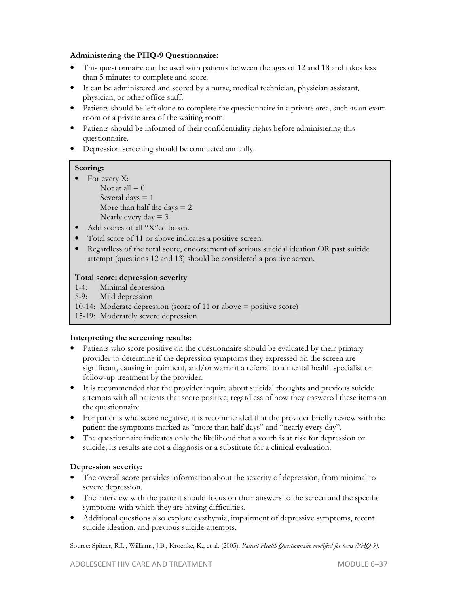#### **Administering the PHQ-9 Questionnaire:**

- This questionnaire can be used with patients between the ages of 12 and 18 and takes less than 5 minutes to complete and score.
- It can be administered and scored by a nurse, medical technician, physician assistant, physician, or other office staff.
- Patients should be left alone to complete the questionnaire in a private area, such as an exam room or a private area of the waiting room.
- Patients should be informed of their confidentiality rights before administering this questionnaire.
- Depression screening should be conducted annually.

# **Scoring:**

- For every X: Not at all  $= 0$ Several days  $= 1$ More than half the days  $= 2$ Nearly every  $day = 3$
- Add scores of all "X"ed boxes.
- Total score of 11 or above indicates a positive screen.
- Regardless of the total score, endorsement of serious suicidal ideation OR past suicide attempt (questions 12 and 13) should be considered a positive screen.

# **Total score: depression severity**

- 
- 1-4: Minimal depression<br>5-9: Mild depression Mild depression
- 10-14: Moderate depression (score of 11 or above = positive score)
- 15-19: Moderately severe depression

# **Interpreting the screening results:**

- Patients who score positive on the questionnaire should be evaluated by their primary provider to determine if the depression symptoms they expressed on the screen are significant, causing impairment, and/or warrant a referral to a mental health specialist or follow-up treatment by the provider.
- It is recommended that the provider inquire about suicidal thoughts and previous suicide attempts with all patients that score positive, regardless of how they answered these items on the questionnaire.
- For patients who score negative, it is recommended that the provider briefly review with the patient the symptoms marked as "more than half days" and "nearly every day".
- The questionnaire indicates only the likelihood that a youth is at risk for depression or suicide; its results are not a diagnosis or a substitute for a clinical evaluation.

# **Depression severity:**

- The overall score provides information about the severity of depression, from minimal to severe depression.
- The interview with the patient should focus on their answers to the screen and the specific symptoms with which they are having difficulties.
- Additional questions also explore dysthymia, impairment of depressive symptoms, recent suicide ideation, and previous suicide attempts.

Source: Spitzer, R.L., Williams, J.B., Kroenke, K., et al. (2005). *Patient Health Questionnaire modified for teens (PHQ-9).*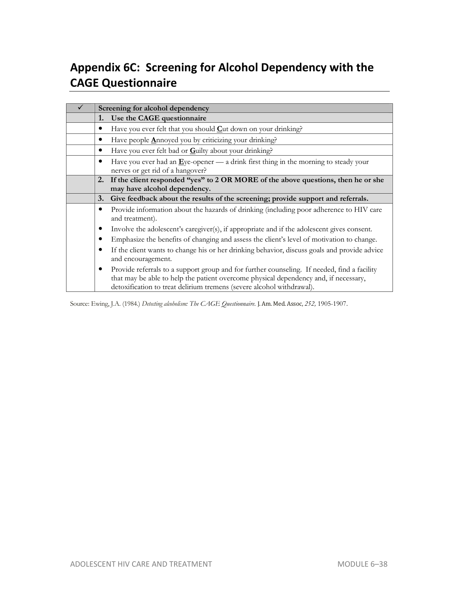# **Appendix 6C: Screening for Alcohol Dependency with the CAGE Questionnaire**

| Screening for alcohol dependency |                                                                                                                                                                                                                                                              |  |  |
|----------------------------------|--------------------------------------------------------------------------------------------------------------------------------------------------------------------------------------------------------------------------------------------------------------|--|--|
| 1.                               | Use the CAGE questionnaire                                                                                                                                                                                                                                   |  |  |
| $\bullet$                        | Have you ever felt that you should $C$ ut down on your drinking?                                                                                                                                                                                             |  |  |
|                                  | Have people Annoyed you by criticizing your drinking?                                                                                                                                                                                                        |  |  |
|                                  | Have you ever felt bad or Guilty about your drinking?                                                                                                                                                                                                        |  |  |
|                                  | Have you ever had an $\underline{E}$ ye-opener — a drink first thing in the morning to steady your<br>nerves or get rid of a hangover?                                                                                                                       |  |  |
| 2.                               | If the client responded "yes" to 2 OR MORE of the above questions, then he or she                                                                                                                                                                            |  |  |
|                                  | may have alcohol dependency.                                                                                                                                                                                                                                 |  |  |
| 3.                               | Give feedback about the results of the screening; provide support and referrals.                                                                                                                                                                             |  |  |
| $\bullet$                        | Provide information about the hazards of drinking (including poor adherence to HIV care<br>and treatment).                                                                                                                                                   |  |  |
| ٠                                | Involve the adolescent's caregiver(s), if appropriate and if the adolescent gives consent.                                                                                                                                                                   |  |  |
|                                  | Emphasize the benefits of changing and assess the client's level of motivation to change.                                                                                                                                                                    |  |  |
| $\bullet$                        | If the client wants to change his or her drinking behavior, discuss goals and provide advice<br>and encouragement.                                                                                                                                           |  |  |
| $\bullet$                        | Provide referrals to a support group and for further counseling. If needed, find a facility<br>that may be able to help the patient overcome physical dependency and, if necessary,<br>detoxification to treat delirium tremens (severe alcohol withdrawal). |  |  |

Source: Ewing, J.A. (1984.) *Detecting alcoholism: The CAGE Questionnaire*. J. Am. Med. Assoc, *252,* 1905-1907.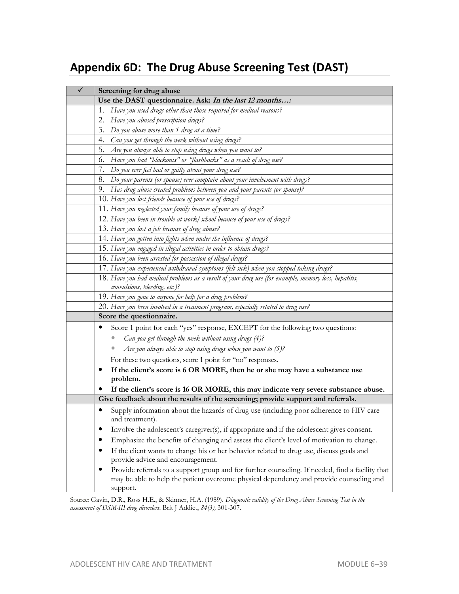# **Appendix 6D: The Drug Abuse Screening Test (DAST)**

| Screening for drug abuse                                                                                                                                                                                     |
|--------------------------------------------------------------------------------------------------------------------------------------------------------------------------------------------------------------|
| Use the DAST questionnaire. Ask: In the last 12 months:                                                                                                                                                      |
| Have you used drugs other than those required for medical reasons?<br>1.                                                                                                                                     |
| 2.<br>Have you abused prescription drugs?                                                                                                                                                                    |
| Do you abuse more than 1 drug at a time?<br>3.                                                                                                                                                               |
| 4.<br>Can you get through the week without using drugs?                                                                                                                                                      |
| 5.<br>Are you always able to stop using drugs when you want to?                                                                                                                                              |
| Have you had "blackouts" or "flashbacks" as a result of drug use?<br>6.                                                                                                                                      |
| Do you ever feel bad or guilty about your drug use?<br>7.                                                                                                                                                    |
| Do your parents (or spouse) ever complain about your involvement with drugs?<br>8.                                                                                                                           |
| 9. Has drug abuse created problems between you and your parents (or spouse)?                                                                                                                                 |
| 10. Have you lost friends because of your use of drugs?                                                                                                                                                      |
| 11. Have you neglected your family because of your use of drugs?                                                                                                                                             |
| 12. Have you been in trouble at work/school because of your use of drugs?                                                                                                                                    |
| 13. Have you lost a job because of drug abuse?                                                                                                                                                               |
| 14. Have you gotten into fights when under the influence of drugs?                                                                                                                                           |
| 15. Have you engaged in illegal activities in order to obtain drugs?                                                                                                                                         |
| 16. Have you been arrested for possession of illegal drugs?                                                                                                                                                  |
| 17. Have you experienced withdrawal symptoms (felt sick) when you stopped taking drugs?                                                                                                                      |
| 18. Have you had medical problems as a result of your drug use (for example, memory loss, hepatitis,                                                                                                         |
| convulsions, bleeding, etc.)?                                                                                                                                                                                |
| 19. Have you gone to anyone for help for a drug problem?                                                                                                                                                     |
| 20. Have you been involved in a treatment program, especially related to drug use?                                                                                                                           |
| Score the questionnaire.                                                                                                                                                                                     |
| Score 1 point for each "yes" response, EXCEPT for the following two questions:                                                                                                                               |
| Can you get through the week without using drugs (4)?                                                                                                                                                        |
| Are you always able to stop using drugs when you want to $(5)$ ?                                                                                                                                             |
| For these two questions, score 1 point for "no" responses.                                                                                                                                                   |
| If the client's score is 6 OR MORE, then he or she may have a substance use                                                                                                                                  |
| problem.                                                                                                                                                                                                     |
| If the client's score is 16 OR MORE, this may indicate very severe substance abuse.                                                                                                                          |
| Give feedback about the results of the screening; provide support and referrals.                                                                                                                             |
| Supply information about the hazards of drug use (including poor adherence to HIV care<br>and treatment).                                                                                                    |
| Involve the adolescent's caregiver(s), if appropriate and if the adolescent gives consent.                                                                                                                   |
| Emphasize the benefits of changing and assess the client's level of motivation to change.                                                                                                                    |
| If the client wants to change his or her behavior related to drug use, discuss goals and<br>provide advice and encouragement.                                                                                |
| Provide referrals to a support group and for further counseling. If needed, find a facility that<br>٠<br>may be able to help the patient overcome physical dependency and provide counseling and<br>support. |

Source: Gavin, D.R., Ross H.E., & Skinner, H.A. (1989). *Diagnostic validity of the Drug Abuse Screening Test in the assessment of DSM-III drug disorders*. Brit J Addict, *84(3),* 301-307.